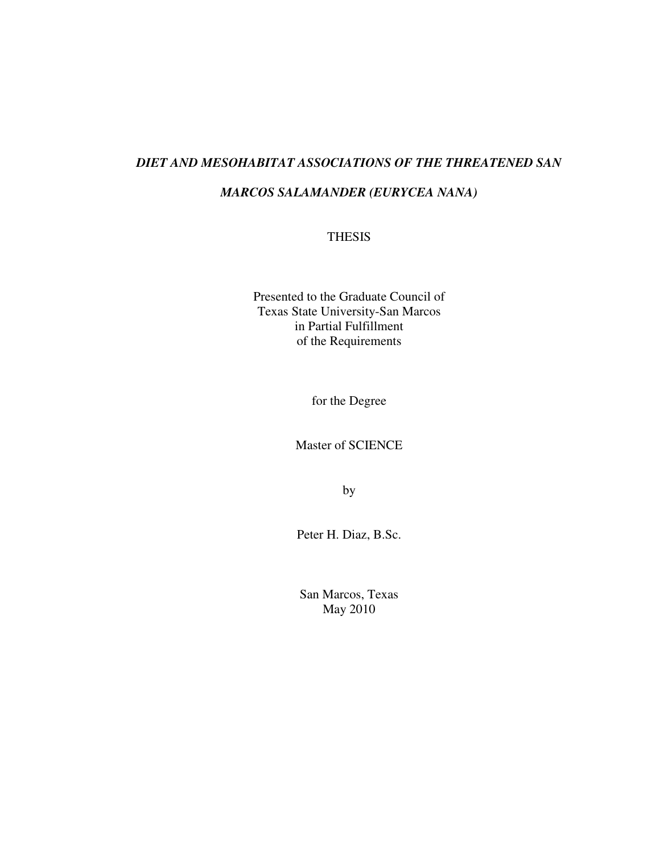## *DIET AND MESOHABITAT ASSOCIATIONS OF THE THREATENED SAN*

## *MARCOS SALAMANDER (EURYCEA NANA)*

#### THESIS

Presented to the Graduate Council of Texas State University-San Marcos in Partial Fulfillment of the Requirements

for the Degree

Master of SCIENCE

by

Peter H. Diaz, B.Sc.

San Marcos, Texas May 2010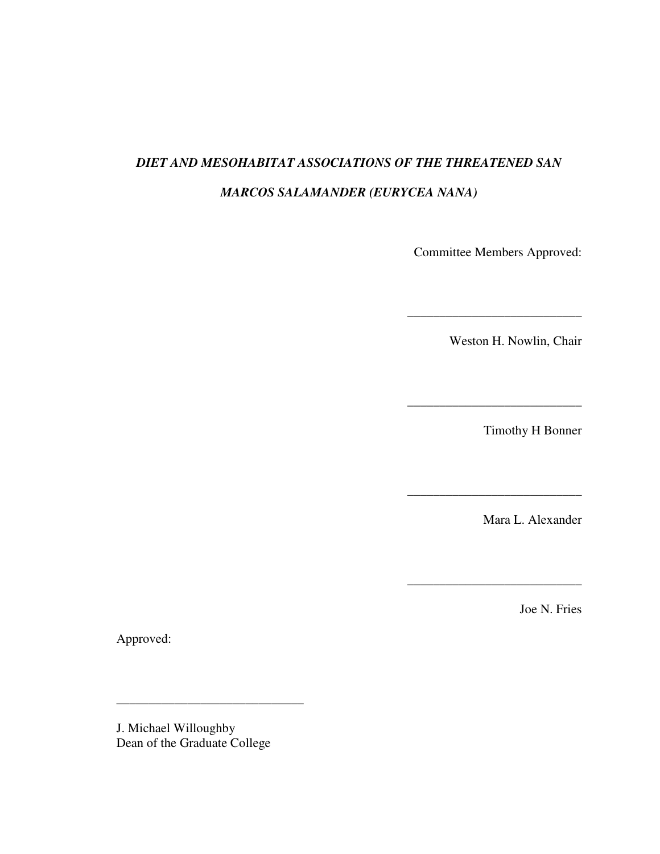# *DIET AND MESOHABITAT ASSOCIATIONS OF THE THREATENED SAN MARCOS SALAMANDER (EURYCEA NANA)*

Committee Members Approved:

\_\_\_\_\_\_\_\_\_\_\_\_\_\_\_\_\_\_\_\_\_\_\_\_\_\_\_

Weston H. Nowlin, Chair

Timothy H Bonner

\_\_\_\_\_\_\_\_\_\_\_\_\_\_\_\_\_\_\_\_\_\_\_\_\_\_\_

 $\overline{\phantom{a}}$  , where  $\overline{\phantom{a}}$ 

Mara L. Alexander

\_\_\_\_\_\_\_\_\_\_\_\_\_\_\_\_\_\_\_\_\_\_\_\_\_\_\_

Joe N. Fries

Approved:

J. Michael Willoughby Dean of the Graduate College

\_\_\_\_\_\_\_\_\_\_\_\_\_\_\_\_\_\_\_\_\_\_\_\_\_\_\_\_\_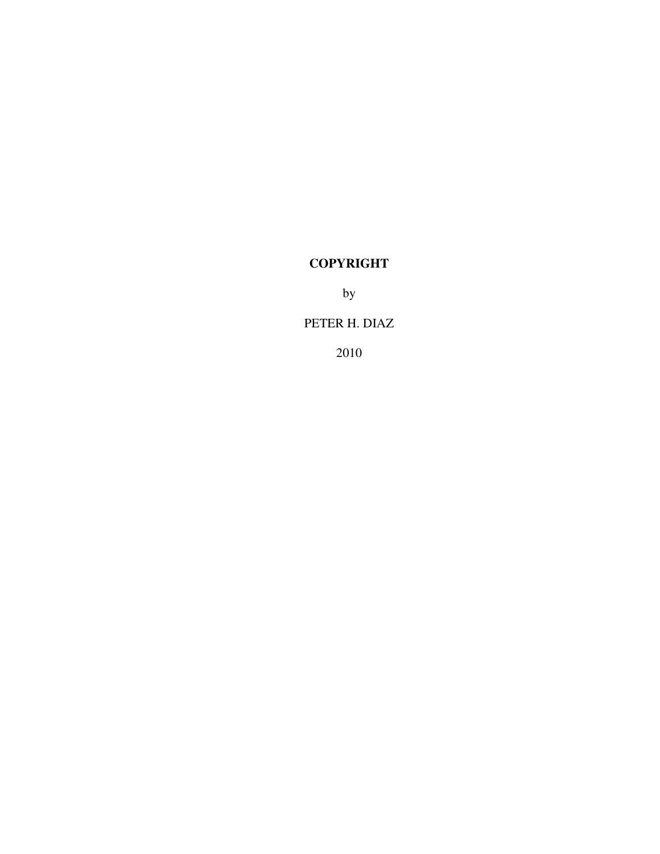# **COPYRIGHT**

by

## PETER H. DIAZ

2010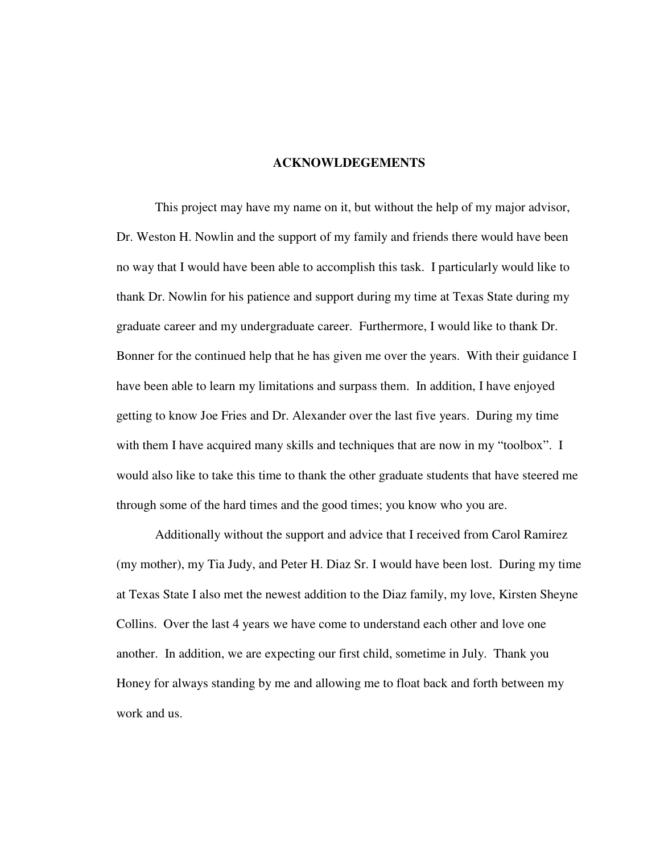#### **ACKNOWLDEGEMENTS**

This project may have my name on it, but without the help of my major advisor, Dr. Weston H. Nowlin and the support of my family and friends there would have been no way that I would have been able to accomplish this task. I particularly would like to thank Dr. Nowlin for his patience and support during my time at Texas State during my graduate career and my undergraduate career. Furthermore, I would like to thank Dr. Bonner for the continued help that he has given me over the years. With their guidance I have been able to learn my limitations and surpass them. In addition, I have enjoyed getting to know Joe Fries and Dr. Alexander over the last five years. During my time with them I have acquired many skills and techniques that are now in my "toolbox". I would also like to take this time to thank the other graduate students that have steered me through some of the hard times and the good times; you know who you are.

Additionally without the support and advice that I received from Carol Ramirez (my mother), my Tia Judy, and Peter H. Diaz Sr. I would have been lost. During my time at Texas State I also met the newest addition to the Diaz family, my love, Kirsten Sheyne Collins. Over the last 4 years we have come to understand each other and love one another. In addition, we are expecting our first child, sometime in July. Thank you Honey for always standing by me and allowing me to float back and forth between my work and us.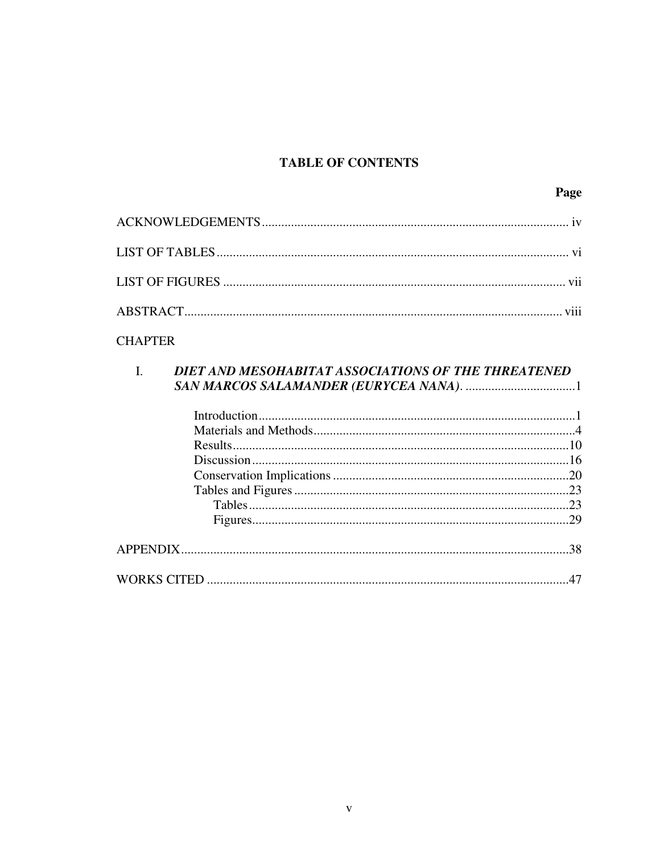## **TABLE OF CONTENTS**

## **CHAPTER**

# DIET AND MESOHABITAT ASSOCIATIONS OF THE THREATENED  $\overline{L}$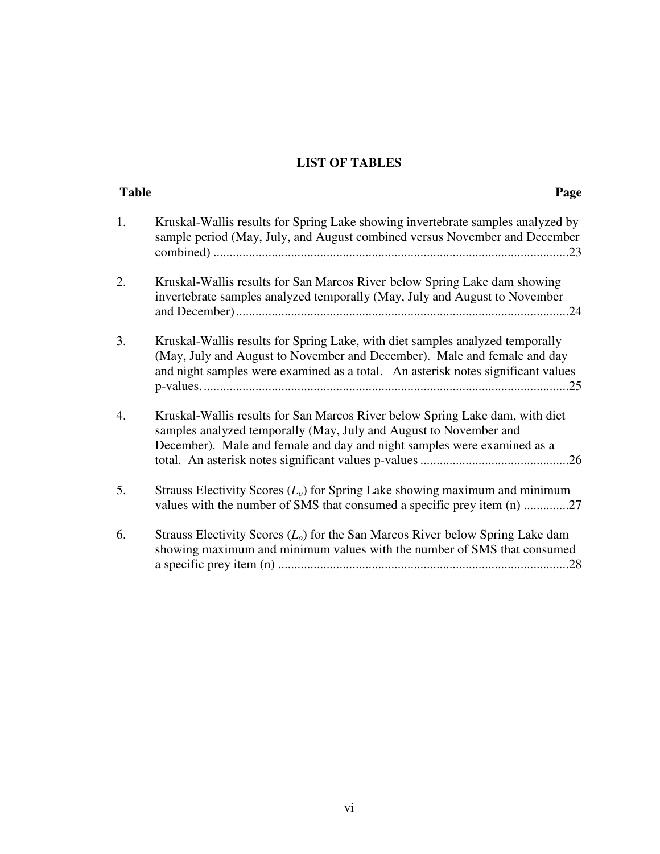# **LIST OF TABLES**

| <b>Table</b> | Page                                                                                                                                                                                                                                          |
|--------------|-----------------------------------------------------------------------------------------------------------------------------------------------------------------------------------------------------------------------------------------------|
| 1.           | Kruskal-Wallis results for Spring Lake showing invertebrate samples analyzed by<br>sample period (May, July, and August combined versus November and December                                                                                 |
| 2.           | Kruskal-Wallis results for San Marcos River below Spring Lake dam showing<br>invertebrate samples analyzed temporally (May, July and August to November                                                                                       |
| 3.           | Kruskal-Wallis results for Spring Lake, with diet samples analyzed temporally<br>(May, July and August to November and December). Male and female and day<br>and night samples were examined as a total. An asterisk notes significant values |
| 4.           | Kruskal-Wallis results for San Marcos River below Spring Lake dam, with diet<br>samples analyzed temporally (May, July and August to November and<br>December). Male and female and day and night samples were examined as a                  |
| 5.           | Strauss Electivity Scores $(L_0)$ for Spring Lake showing maximum and minimum<br>values with the number of SMS that consumed a specific prey item (n) 27                                                                                      |
| 6.           | Strauss Electivity Scores $(Lo)$ for the San Marcos River below Spring Lake dam<br>showing maximum and minimum values with the number of SMS that consumed                                                                                    |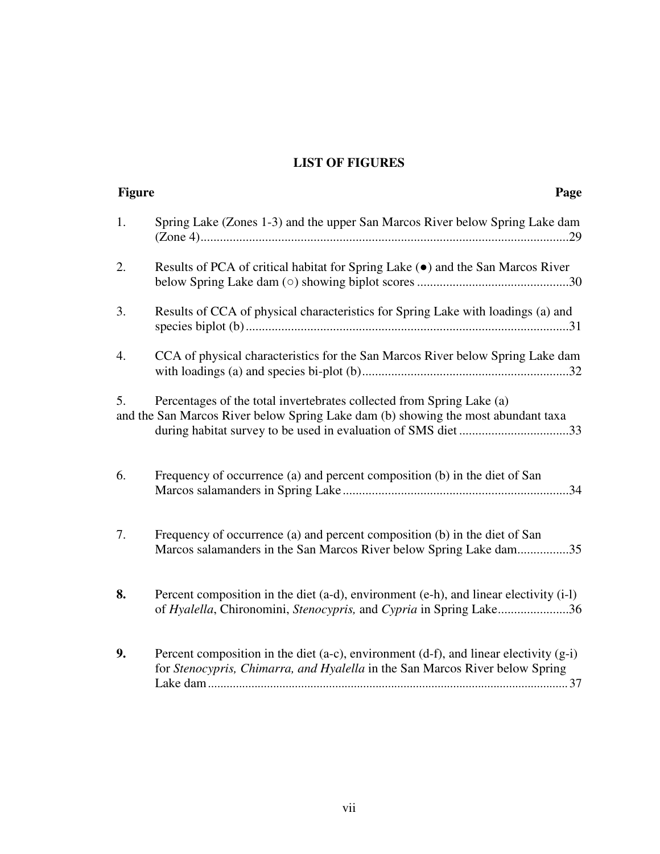# **LIST OF FIGURES**

| <b>Figure</b> | Page                                                                                                                                                                                                                       |
|---------------|----------------------------------------------------------------------------------------------------------------------------------------------------------------------------------------------------------------------------|
| 1.            | Spring Lake (Zones 1-3) and the upper San Marcos River below Spring Lake dam                                                                                                                                               |
| 2.            | Results of PCA of critical habitat for Spring Lake ( $\bullet$ ) and the San Marcos River                                                                                                                                  |
| 3.            | Results of CCA of physical characteristics for Spring Lake with loadings (a) and                                                                                                                                           |
| 4.            | CCA of physical characteristics for the San Marcos River below Spring Lake dam                                                                                                                                             |
| 5.            | Percentages of the total invertebrates collected from Spring Lake (a)<br>and the San Marcos River below Spring Lake dam (b) showing the most abundant taxa<br>during habitat survey to be used in evaluation of SMS diet33 |
| 6.            | Frequency of occurrence (a) and percent composition (b) in the diet of San                                                                                                                                                 |
| 7.            | Frequency of occurrence (a) and percent composition (b) in the diet of San<br>Marcos salamanders in the San Marcos River below Spring Lake dam35                                                                           |
| 8.            | Percent composition in the diet (a-d), environment (e-h), and linear electivity (i-l)<br>of Hyalella, Chironomini, Stenocypris, and Cypria in Spring Lake36                                                                |
| 9.            | Percent composition in the diet (a-c), environment (d-f), and linear electivity $(g-i)$<br>for Stenocypris, Chimarra, and Hyalella in the San Marcos River below Spring                                                    |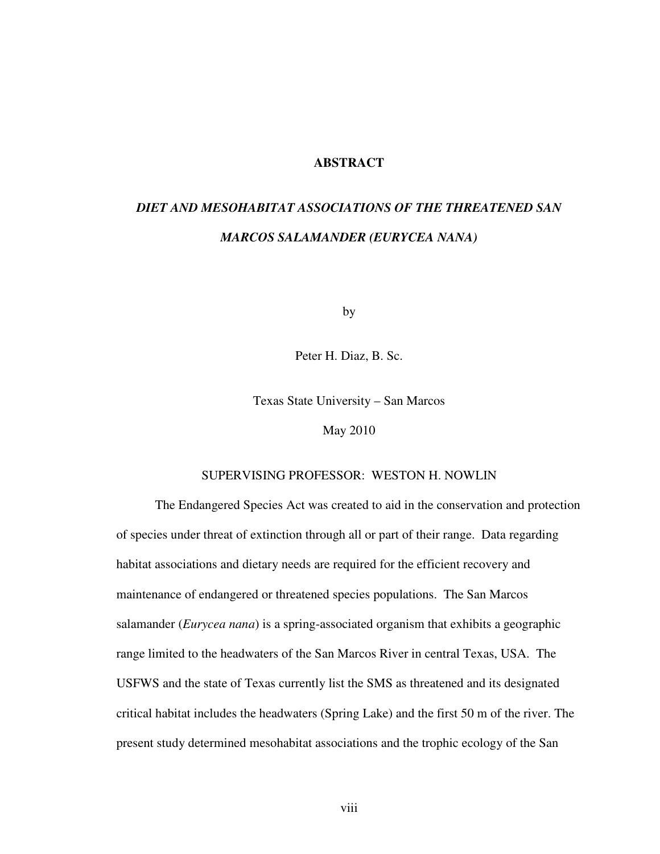#### **ABSTRACT**

# *DIET AND MESOHABITAT ASSOCIATIONS OF THE THREATENED SAN MARCOS SALAMANDER (EURYCEA NANA)*

by

Peter H. Diaz, B. Sc.

Texas State University – San Marcos

May 2010

#### SUPERVISING PROFESSOR: WESTON H. NOWLIN

The Endangered Species Act was created to aid in the conservation and protection of species under threat of extinction through all or part of their range. Data regarding habitat associations and dietary needs are required for the efficient recovery and maintenance of endangered or threatened species populations. The San Marcos salamander (*Eurycea nana*) is a spring-associated organism that exhibits a geographic range limited to the headwaters of the San Marcos River in central Texas, USA. The USFWS and the state of Texas currently list the SMS as threatened and its designated critical habitat includes the headwaters (Spring Lake) and the first 50 m of the river. The present study determined mesohabitat associations and the trophic ecology of the San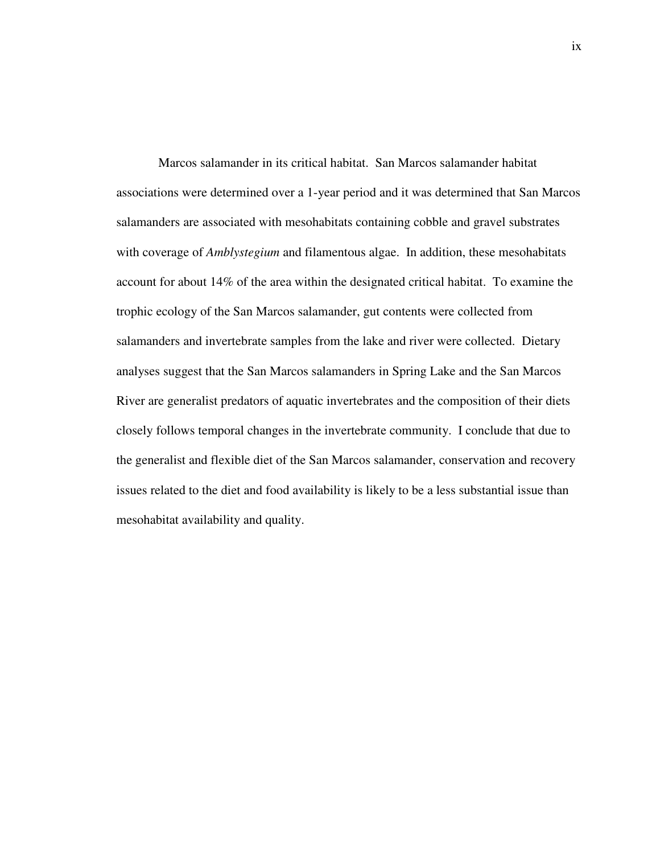Marcos salamander in its critical habitat. San Marcos salamander habitat associations were determined over a 1-year period and it was determined that San Marcos salamanders are associated with mesohabitats containing cobble and gravel substrates with coverage of *Amblystegium* and filamentous algae. In addition, these mesohabitats account for about 14% of the area within the designated critical habitat. To examine the trophic ecology of the San Marcos salamander, gut contents were collected from salamanders and invertebrate samples from the lake and river were collected. Dietary analyses suggest that the San Marcos salamanders in Spring Lake and the San Marcos River are generalist predators of aquatic invertebrates and the composition of their diets closely follows temporal changes in the invertebrate community. I conclude that due to the generalist and flexible diet of the San Marcos salamander, conservation and recovery issues related to the diet and food availability is likely to be a less substantial issue than mesohabitat availability and quality.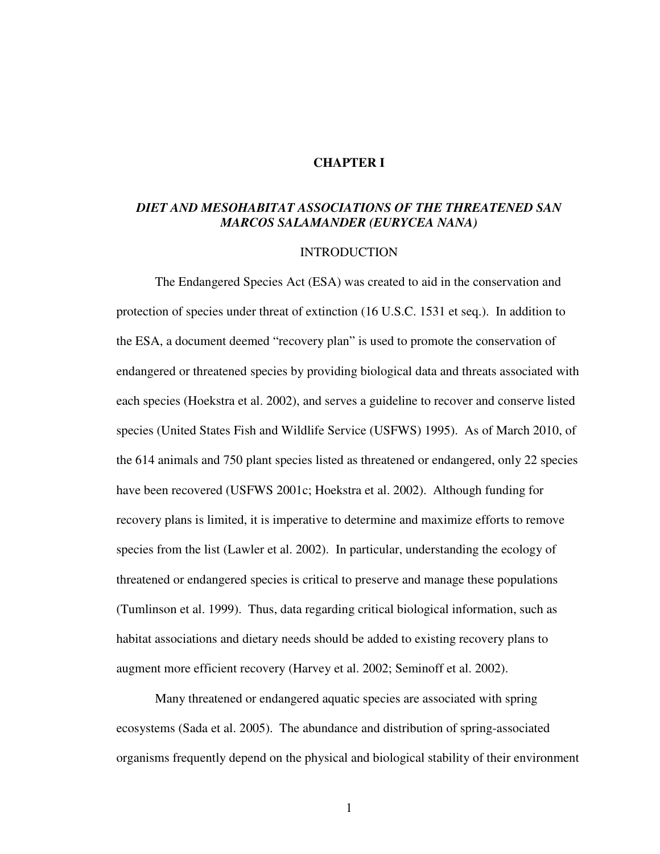#### **CHAPTER I**

### *DIET AND MESOHABITAT ASSOCIATIONS OF THE THREATENED SAN MARCOS SALAMANDER (EURYCEA NANA)*

#### INTRODUCTION

 The Endangered Species Act (ESA) was created to aid in the conservation and protection of species under threat of extinction (16 U.S.C. 1531 et seq.). In addition to the ESA, a document deemed "recovery plan" is used to promote the conservation of endangered or threatened species by providing biological data and threats associated with each species (Hoekstra et al. 2002), and serves a guideline to recover and conserve listed species (United States Fish and Wildlife Service (USFWS) 1995). As of March 2010, of the 614 animals and 750 plant species listed as threatened or endangered, only 22 species have been recovered (USFWS 2001c; Hoekstra et al. 2002). Although funding for recovery plans is limited, it is imperative to determine and maximize efforts to remove species from the list (Lawler et al. 2002). In particular, understanding the ecology of threatened or endangered species is critical to preserve and manage these populations (Tumlinson et al. 1999). Thus, data regarding critical biological information, such as habitat associations and dietary needs should be added to existing recovery plans to augment more efficient recovery (Harvey et al. 2002; Seminoff et al. 2002).

Many threatened or endangered aquatic species are associated with spring ecosystems (Sada et al. 2005). The abundance and distribution of spring-associated organisms frequently depend on the physical and biological stability of their environment

1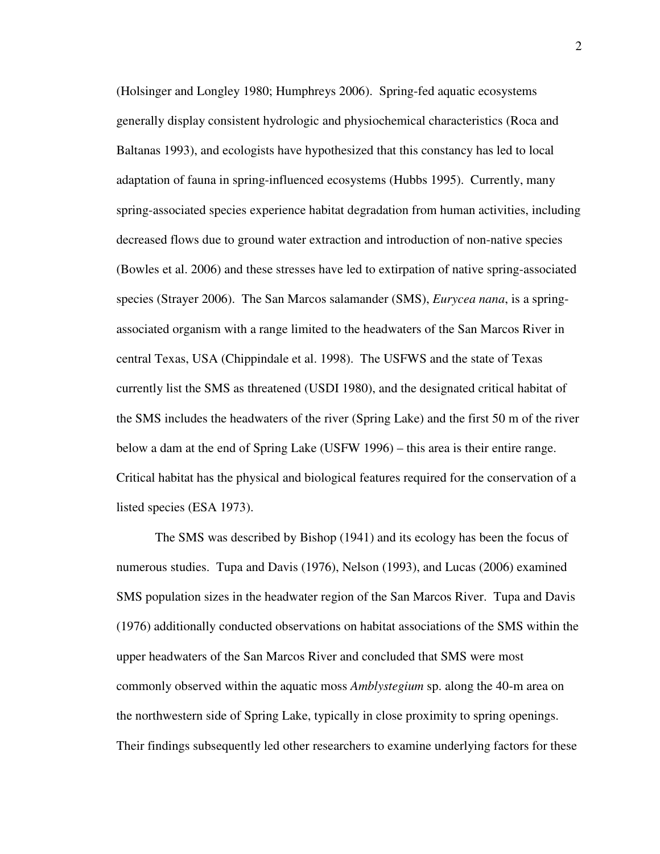(Holsinger and Longley 1980; Humphreys 2006). Spring-fed aquatic ecosystems generally display consistent hydrologic and physiochemical characteristics (Roca and Baltanas 1993), and ecologists have hypothesized that this constancy has led to local adaptation of fauna in spring-influenced ecosystems (Hubbs 1995). Currently, many spring-associated species experience habitat degradation from human activities, including decreased flows due to ground water extraction and introduction of non-native species (Bowles et al. 2006) and these stresses have led to extirpation of native spring-associated species (Strayer 2006). The San Marcos salamander (SMS), *Eurycea nana*, is a springassociated organism with a range limited to the headwaters of the San Marcos River in central Texas, USA (Chippindale et al. 1998). The USFWS and the state of Texas currently list the SMS as threatened (USDI 1980), and the designated critical habitat of the SMS includes the headwaters of the river (Spring Lake) and the first 50 m of the river below a dam at the end of Spring Lake (USFW 1996) – this area is their entire range. Critical habitat has the physical and biological features required for the conservation of a listed species (ESA 1973).

The SMS was described by Bishop (1941) and its ecology has been the focus of numerous studies. Tupa and Davis (1976), Nelson (1993), and Lucas (2006) examined SMS population sizes in the headwater region of the San Marcos River. Tupa and Davis (1976) additionally conducted observations on habitat associations of the SMS within the upper headwaters of the San Marcos River and concluded that SMS were most commonly observed within the aquatic moss *Amblystegium* sp. along the 40-m area on the northwestern side of Spring Lake, typically in close proximity to spring openings. Their findings subsequently led other researchers to examine underlying factors for these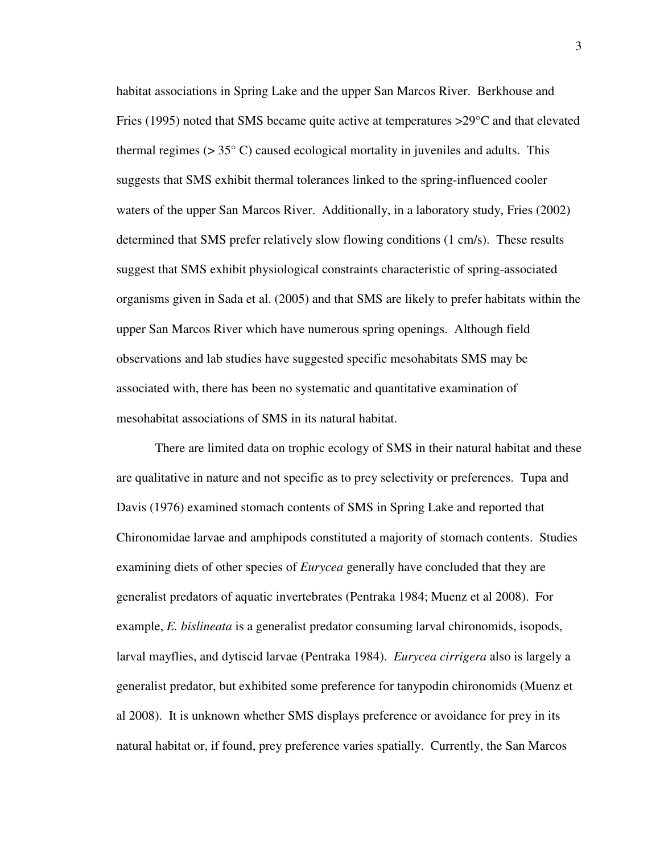habitat associations in Spring Lake and the upper San Marcos River. Berkhouse and Fries (1995) noted that SMS became quite active at temperatures >29°C and that elevated thermal regimes ( $> 35^{\circ}$  C) caused ecological mortality in juveniles and adults. This suggests that SMS exhibit thermal tolerances linked to the spring-influenced cooler waters of the upper San Marcos River. Additionally, in a laboratory study, Fries (2002) determined that SMS prefer relatively slow flowing conditions (1 cm/s). These results suggest that SMS exhibit physiological constraints characteristic of spring-associated organisms given in Sada et al. (2005) and that SMS are likely to prefer habitats within the upper San Marcos River which have numerous spring openings. Although field observations and lab studies have suggested specific mesohabitats SMS may be associated with, there has been no systematic and quantitative examination of mesohabitat associations of SMS in its natural habitat.

There are limited data on trophic ecology of SMS in their natural habitat and these are qualitative in nature and not specific as to prey selectivity or preferences. Tupa and Davis (1976) examined stomach contents of SMS in Spring Lake and reported that Chironomidae larvae and amphipods constituted a majority of stomach contents. Studies examining diets of other species of *Eurycea* generally have concluded that they are generalist predators of aquatic invertebrates (Pentraka 1984; Muenz et al 2008). For example, *E. bislineata* is a generalist predator consuming larval chironomids, isopods, larval mayflies, and dytiscid larvae (Pentraka 1984). *Eurycea cirrigera* also is largely a generalist predator, but exhibited some preference for tanypodin chironomids (Muenz et al 2008). It is unknown whether SMS displays preference or avoidance for prey in its natural habitat or, if found, prey preference varies spatially. Currently, the San Marcos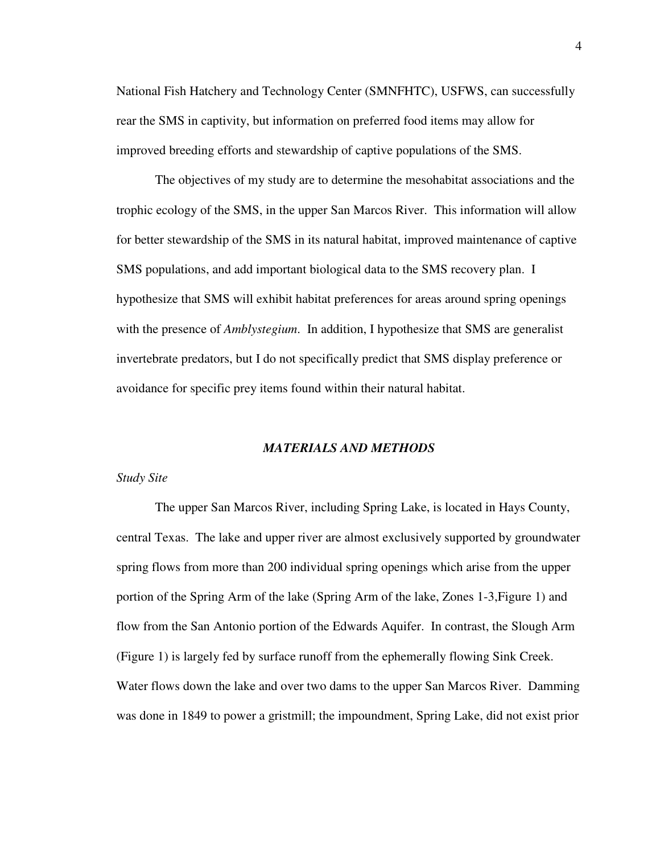National Fish Hatchery and Technology Center (SMNFHTC), USFWS, can successfully rear the SMS in captivity, but information on preferred food items may allow for improved breeding efforts and stewardship of captive populations of the SMS.

The objectives of my study are to determine the mesohabitat associations and the trophic ecology of the SMS, in the upper San Marcos River. This information will allow for better stewardship of the SMS in its natural habitat, improved maintenance of captive SMS populations, and add important biological data to the SMS recovery plan. I hypothesize that SMS will exhibit habitat preferences for areas around spring openings with the presence of *Amblystegium*. In addition, I hypothesize that SMS are generalist invertebrate predators, but I do not specifically predict that SMS display preference or avoidance for specific prey items found within their natural habitat.

#### *MATERIALS AND METHODS*

#### *Study Site*

 The upper San Marcos River, including Spring Lake, is located in Hays County, central Texas. The lake and upper river are almost exclusively supported by groundwater spring flows from more than 200 individual spring openings which arise from the upper portion of the Spring Arm of the lake (Spring Arm of the lake, Zones 1-3,Figure 1) and flow from the San Antonio portion of the Edwards Aquifer. In contrast, the Slough Arm (Figure 1) is largely fed by surface runoff from the ephemerally flowing Sink Creek. Water flows down the lake and over two dams to the upper San Marcos River. Damming was done in 1849 to power a gristmill; the impoundment, Spring Lake, did not exist prior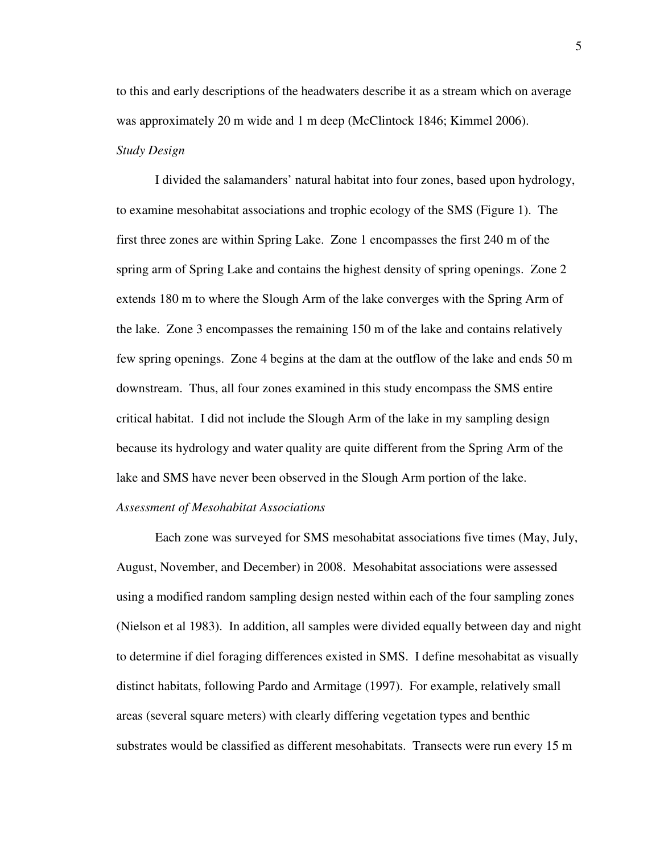to this and early descriptions of the headwaters describe it as a stream which on average was approximately 20 m wide and 1 m deep (McClintock 1846; Kimmel 2006). *Study Design* 

I divided the salamanders' natural habitat into four zones, based upon hydrology, to examine mesohabitat associations and trophic ecology of the SMS (Figure 1). The first three zones are within Spring Lake. Zone 1 encompasses the first 240 m of the spring arm of Spring Lake and contains the highest density of spring openings. Zone 2 extends 180 m to where the Slough Arm of the lake converges with the Spring Arm of the lake. Zone 3 encompasses the remaining 150 m of the lake and contains relatively few spring openings. Zone 4 begins at the dam at the outflow of the lake and ends 50 m downstream. Thus, all four zones examined in this study encompass the SMS entire critical habitat. I did not include the Slough Arm of the lake in my sampling design because its hydrology and water quality are quite different from the Spring Arm of the lake and SMS have never been observed in the Slough Arm portion of the lake.

### *Assessment of Mesohabitat Associations*

Each zone was surveyed for SMS mesohabitat associations five times (May, July, August, November, and December) in 2008. Mesohabitat associations were assessed using a modified random sampling design nested within each of the four sampling zones (Nielson et al 1983). In addition, all samples were divided equally between day and night to determine if diel foraging differences existed in SMS. I define mesohabitat as visually distinct habitats, following Pardo and Armitage (1997). For example, relatively small areas (several square meters) with clearly differing vegetation types and benthic substrates would be classified as different mesohabitats. Transects were run every 15 m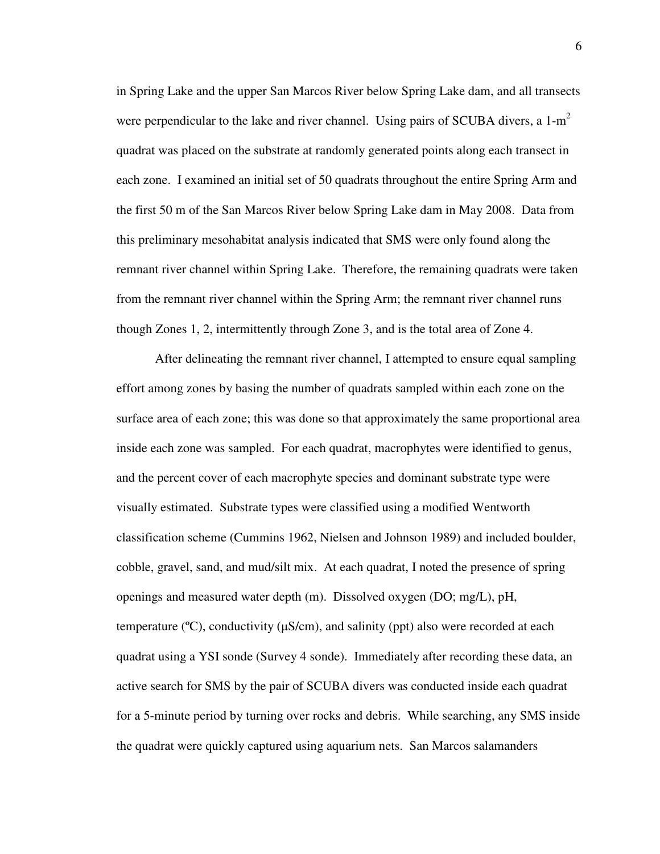in Spring Lake and the upper San Marcos River below Spring Lake dam, and all transects were perpendicular to the lake and river channel. Using pairs of SCUBA divers, a  $1-m<sup>2</sup>$ quadrat was placed on the substrate at randomly generated points along each transect in each zone. I examined an initial set of 50 quadrats throughout the entire Spring Arm and the first 50 m of the San Marcos River below Spring Lake dam in May 2008. Data from this preliminary mesohabitat analysis indicated that SMS were only found along the remnant river channel within Spring Lake. Therefore, the remaining quadrats were taken from the remnant river channel within the Spring Arm; the remnant river channel runs though Zones 1, 2, intermittently through Zone 3, and is the total area of Zone 4.

After delineating the remnant river channel, I attempted to ensure equal sampling effort among zones by basing the number of quadrats sampled within each zone on the surface area of each zone; this was done so that approximately the same proportional area inside each zone was sampled. For each quadrat, macrophytes were identified to genus, and the percent cover of each macrophyte species and dominant substrate type were visually estimated. Substrate types were classified using a modified Wentworth classification scheme (Cummins 1962, Nielsen and Johnson 1989) and included boulder, cobble, gravel, sand, and mud/silt mix. At each quadrat, I noted the presence of spring openings and measured water depth (m). Dissolved oxygen (DO; mg/L), pH, temperature ( $\degree$ C), conductivity ( $\mu$ S/cm), and salinity (ppt) also were recorded at each quadrat using a YSI sonde (Survey 4 sonde). Immediately after recording these data, an active search for SMS by the pair of SCUBA divers was conducted inside each quadrat for a 5-minute period by turning over rocks and debris. While searching, any SMS inside the quadrat were quickly captured using aquarium nets. San Marcos salamanders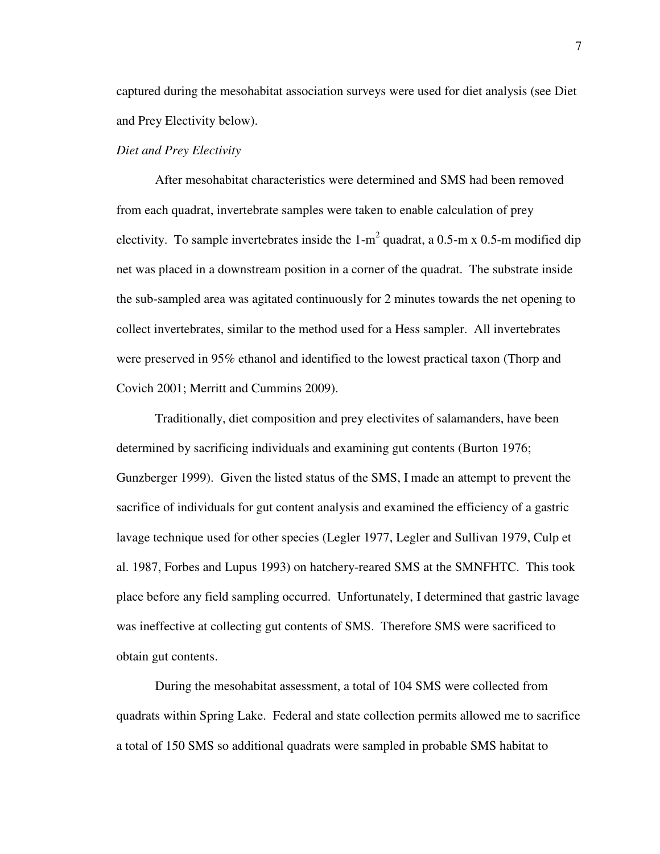captured during the mesohabitat association surveys were used for diet analysis (see Diet and Prey Electivity below).

#### *Diet and Prey Electivity*

After mesohabitat characteristics were determined and SMS had been removed from each quadrat, invertebrate samples were taken to enable calculation of prey electivity. To sample invertebrates inside the 1-m<sup>2</sup> quadrat, a 0.5-m x 0.5-m modified dip net was placed in a downstream position in a corner of the quadrat. The substrate inside the sub-sampled area was agitated continuously for 2 minutes towards the net opening to collect invertebrates, similar to the method used for a Hess sampler. All invertebrates were preserved in 95% ethanol and identified to the lowest practical taxon (Thorp and Covich 2001; Merritt and Cummins 2009).

Traditionally, diet composition and prey electivites of salamanders, have been determined by sacrificing individuals and examining gut contents (Burton 1976; Gunzberger 1999). Given the listed status of the SMS, I made an attempt to prevent the sacrifice of individuals for gut content analysis and examined the efficiency of a gastric lavage technique used for other species (Legler 1977, Legler and Sullivan 1979, Culp et al. 1987, Forbes and Lupus 1993) on hatchery-reared SMS at the SMNFHTC. This took place before any field sampling occurred. Unfortunately, I determined that gastric lavage was ineffective at collecting gut contents of SMS. Therefore SMS were sacrificed to obtain gut contents.

During the mesohabitat assessment, a total of 104 SMS were collected from quadrats within Spring Lake. Federal and state collection permits allowed me to sacrifice a total of 150 SMS so additional quadrats were sampled in probable SMS habitat to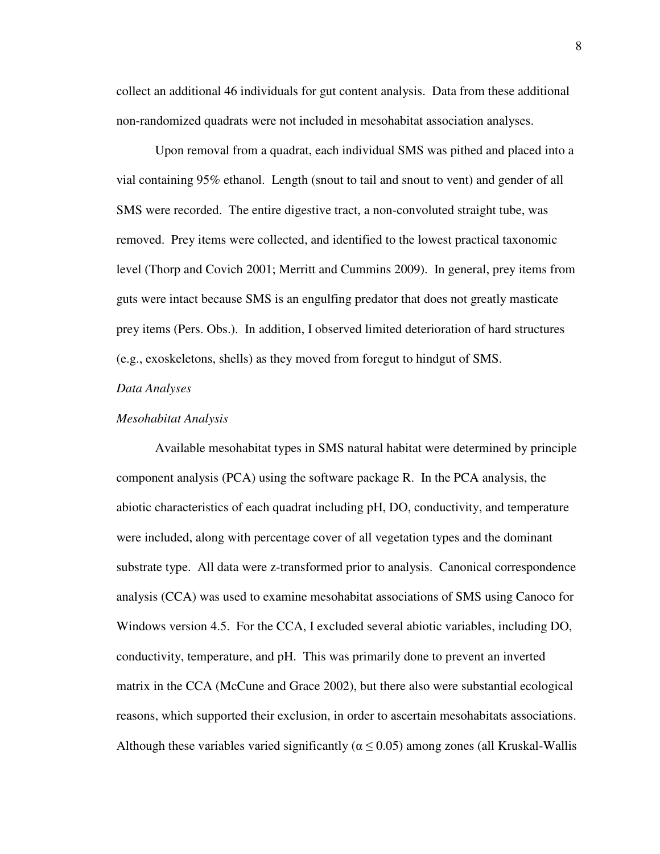collect an additional 46 individuals for gut content analysis. Data from these additional non-randomized quadrats were not included in mesohabitat association analyses.

Upon removal from a quadrat, each individual SMS was pithed and placed into a vial containing 95% ethanol. Length (snout to tail and snout to vent) and gender of all SMS were recorded. The entire digestive tract, a non-convoluted straight tube, was removed. Prey items were collected, and identified to the lowest practical taxonomic level (Thorp and Covich 2001; Merritt and Cummins 2009). In general, prey items from guts were intact because SMS is an engulfing predator that does not greatly masticate prey items (Pers. Obs.). In addition, I observed limited deterioration of hard structures (e.g., exoskeletons, shells) as they moved from foregut to hindgut of SMS.

#### *Data Analyses*

#### *Mesohabitat Analysis*

Available mesohabitat types in SMS natural habitat were determined by principle component analysis (PCA) using the software package R. In the PCA analysis, the abiotic characteristics of each quadrat including pH, DO, conductivity, and temperature were included, along with percentage cover of all vegetation types and the dominant substrate type. All data were z-transformed prior to analysis. Canonical correspondence analysis (CCA) was used to examine mesohabitat associations of SMS using Canoco for Windows version 4.5. For the CCA, I excluded several abiotic variables, including DO, conductivity, temperature, and pH. This was primarily done to prevent an inverted matrix in the CCA (McCune and Grace 2002), but there also were substantial ecological reasons, which supported their exclusion, in order to ascertain mesohabitats associations. Although these variables varied significantly ( $\alpha \le 0.05$ ) among zones (all Kruskal-Wallis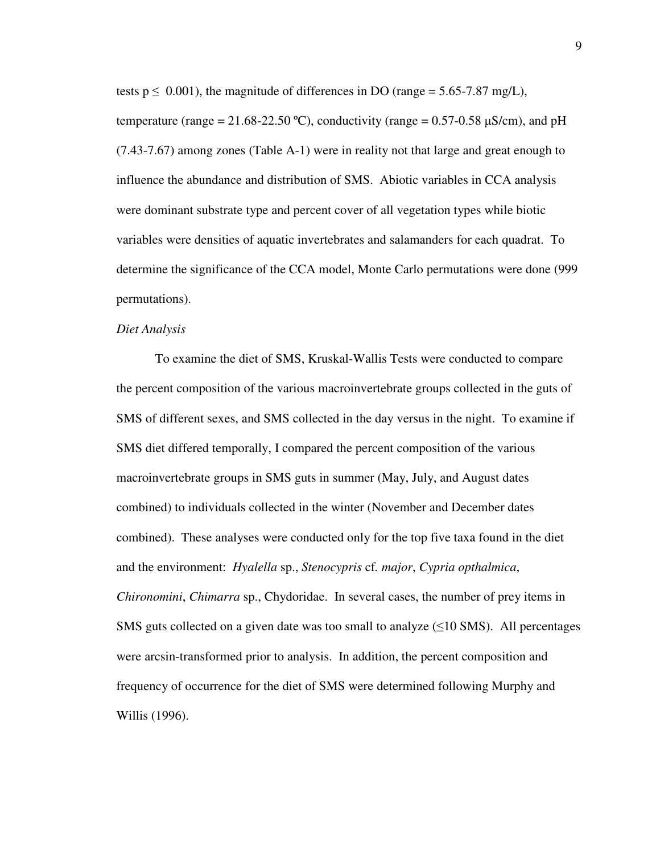tests  $p \le 0.001$ , the magnitude of differences in DO (range = 5.65-7.87 mg/L), temperature (range =  $21.68 - 22.50$  °C), conductivity (range =  $0.57 - 0.58$   $\mu$ S/cm), and pH (7.43-7.67) among zones (Table A-1) were in reality not that large and great enough to influence the abundance and distribution of SMS. Abiotic variables in CCA analysis were dominant substrate type and percent cover of all vegetation types while biotic variables were densities of aquatic invertebrates and salamanders for each quadrat. To determine the significance of the CCA model, Monte Carlo permutations were done (999 permutations).

#### *Diet Analysis*

To examine the diet of SMS, Kruskal-Wallis Tests were conducted to compare the percent composition of the various macroinvertebrate groups collected in the guts of SMS of different sexes, and SMS collected in the day versus in the night. To examine if SMS diet differed temporally, I compared the percent composition of the various macroinvertebrate groups in SMS guts in summer (May, July, and August dates combined) to individuals collected in the winter (November and December dates combined). These analyses were conducted only for the top five taxa found in the diet and the environment: *Hyalella* sp., *Stenocypris* cf*. major*, *Cypria opthalmica*, *Chironomini*, *Chimarra* sp., Chydoridae. In several cases, the number of prey items in SMS guts collected on a given date was too small to analyze  $(\leq 10$  SMS). All percentages were arcsin-transformed prior to analysis. In addition, the percent composition and frequency of occurrence for the diet of SMS were determined following Murphy and Willis (1996).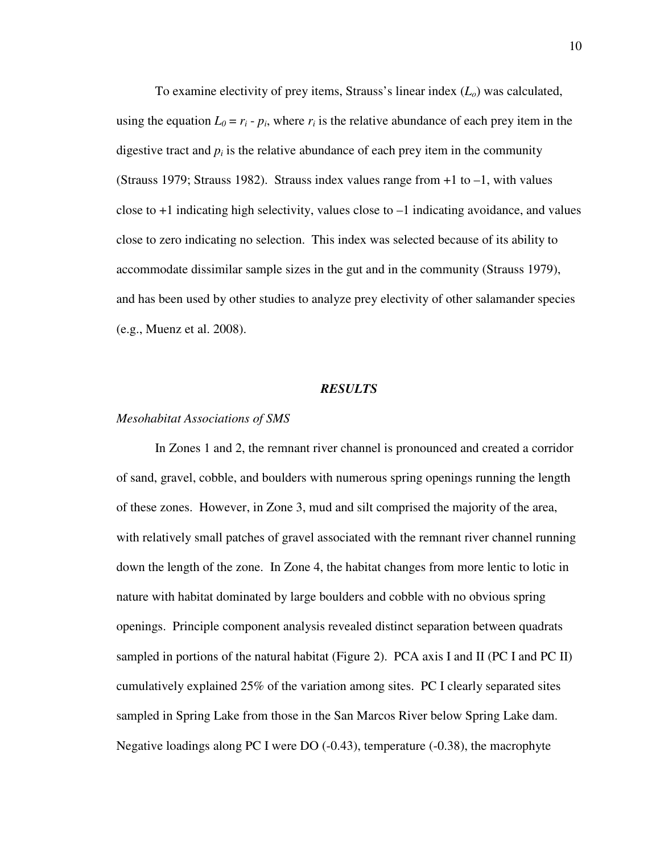To examine electivity of prey items, Strauss's linear index (*Lo*) was calculated, using the equation  $L_0 = r_i - p_i$ , where  $r_i$  is the relative abundance of each prey item in the digestive tract and  $p_i$  is the relative abundance of each prey item in the community (Strauss 1979; Strauss 1982). Strauss index values range from +1 to –1, with values close to  $+1$  indicating high selectivity, values close to  $-1$  indicating avoidance, and values close to zero indicating no selection. This index was selected because of its ability to accommodate dissimilar sample sizes in the gut and in the community (Strauss 1979), and has been used by other studies to analyze prey electivity of other salamander species (e.g., Muenz et al. 2008).

#### *RESULTS*

#### *Mesohabitat Associations of SMS*

In Zones 1 and 2, the remnant river channel is pronounced and created a corridor of sand, gravel, cobble, and boulders with numerous spring openings running the length of these zones. However, in Zone 3, mud and silt comprised the majority of the area, with relatively small patches of gravel associated with the remnant river channel running down the length of the zone. In Zone 4, the habitat changes from more lentic to lotic in nature with habitat dominated by large boulders and cobble with no obvious spring openings. Principle component analysis revealed distinct separation between quadrats sampled in portions of the natural habitat (Figure 2). PCA axis I and II (PC I and PC II) cumulatively explained 25% of the variation among sites. PC I clearly separated sites sampled in Spring Lake from those in the San Marcos River below Spring Lake dam. Negative loadings along PC I were DO (-0.43), temperature (-0.38), the macrophyte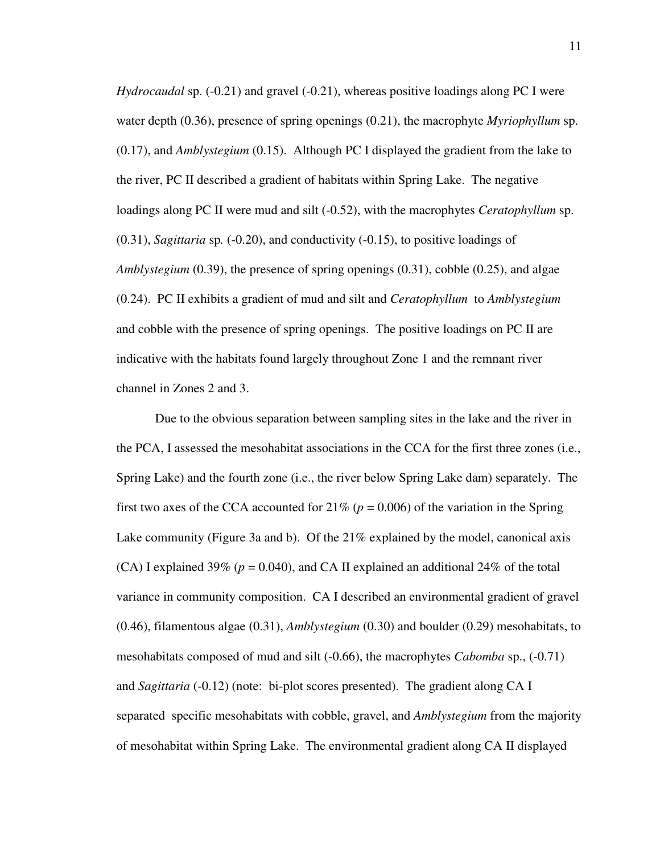*Hydrocaudal* sp. (-0.21) and gravel (-0.21), whereas positive loadings along PC I were water depth (0.36), presence of spring openings (0.21), the macrophyte *Myriophyllum* sp. (0.17), and *Amblystegium* (0.15). Although PC I displayed the gradient from the lake to the river, PC II described a gradient of habitats within Spring Lake. The negative loadings along PC II were mud and silt (-0.52), with the macrophytes *Ceratophyllum* sp. (0.31), *Sagittaria* sp*.* (-0.20), and conductivity (-0.15), to positive loadings of *Amblystegium* (0.39), the presence of spring openings (0.31), cobble (0.25), and algae (0.24). PC II exhibits a gradient of mud and silt and *Ceratophyllum* to *Amblystegium* and cobble with the presence of spring openings. The positive loadings on PC II are indicative with the habitats found largely throughout Zone 1 and the remnant river channel in Zones 2 and 3.

Due to the obvious separation between sampling sites in the lake and the river in the PCA, I assessed the mesohabitat associations in the CCA for the first three zones (i.e., Spring Lake) and the fourth zone (i.e., the river below Spring Lake dam) separately. The first two axes of the CCA accounted for  $21\%$  ( $p = 0.006$ ) of the variation in the Spring Lake community (Figure 3a and b). Of the  $21\%$  explained by the model, canonical axis (CA) I explained 39% ( $p = 0.040$ ), and CA II explained an additional 24% of the total variance in community composition. CA I described an environmental gradient of gravel (0.46), filamentous algae (0.31), *Amblystegium* (0.30) and boulder (0.29) mesohabitats, to mesohabitats composed of mud and silt (-0.66), the macrophytes *Cabomba* sp., (-0.71) and *Sagittaria* (-0.12) (note: bi-plot scores presented). The gradient along CA I separated specific mesohabitats with cobble, gravel, and *Amblystegium* from the majority of mesohabitat within Spring Lake. The environmental gradient along CA II displayed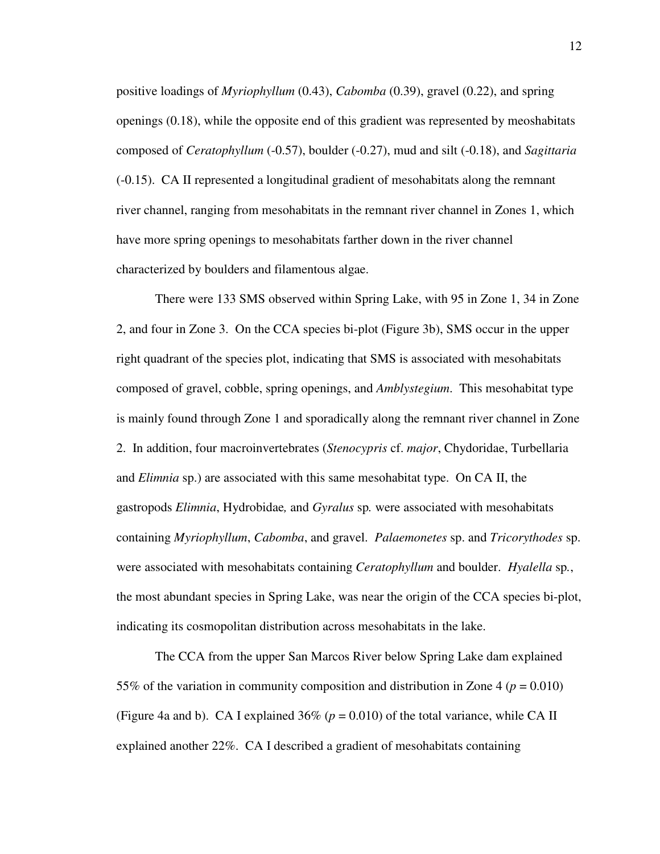positive loadings of *Myriophyllum* (0.43), *Cabomba* (0.39), gravel (0.22), and spring openings (0.18), while the opposite end of this gradient was represented by meoshabitats composed of *Ceratophyllum* (-0.57), boulder (-0.27), mud and silt (-0.18), and *Sagittaria* (-0.15). CA II represented a longitudinal gradient of mesohabitats along the remnant river channel, ranging from mesohabitats in the remnant river channel in Zones 1, which have more spring openings to mesohabitats farther down in the river channel characterized by boulders and filamentous algae.

There were 133 SMS observed within Spring Lake, with 95 in Zone 1, 34 in Zone 2, and four in Zone 3. On the CCA species bi-plot (Figure 3b), SMS occur in the upper right quadrant of the species plot, indicating that SMS is associated with mesohabitats composed of gravel, cobble, spring openings, and *Amblystegium*. This mesohabitat type is mainly found through Zone 1 and sporadically along the remnant river channel in Zone 2. In addition, four macroinvertebrates (*Stenocypris* cf. *major*, Chydoridae, Turbellaria and *Elimnia* sp.) are associated with this same mesohabitat type. On CA II, the gastropods *Elimnia*, Hydrobidae*,* and *Gyralus* sp*.* were associated with mesohabitats containing *Myriophyllum*, *Cabomba*, and gravel. *Palaemonetes* sp. and *Tricorythodes* sp. were associated with mesohabitats containing *Ceratophyllum* and boulder. *Hyalella* sp*.*, the most abundant species in Spring Lake, was near the origin of the CCA species bi-plot, indicating its cosmopolitan distribution across mesohabitats in the lake.

The CCA from the upper San Marcos River below Spring Lake dam explained 55% of the variation in community composition and distribution in Zone 4 ( $p = 0.010$ ) (Figure 4a and b). CA I explained  $36\%$  ( $p = 0.010$ ) of the total variance, while CA II explained another 22%. CA I described a gradient of mesohabitats containing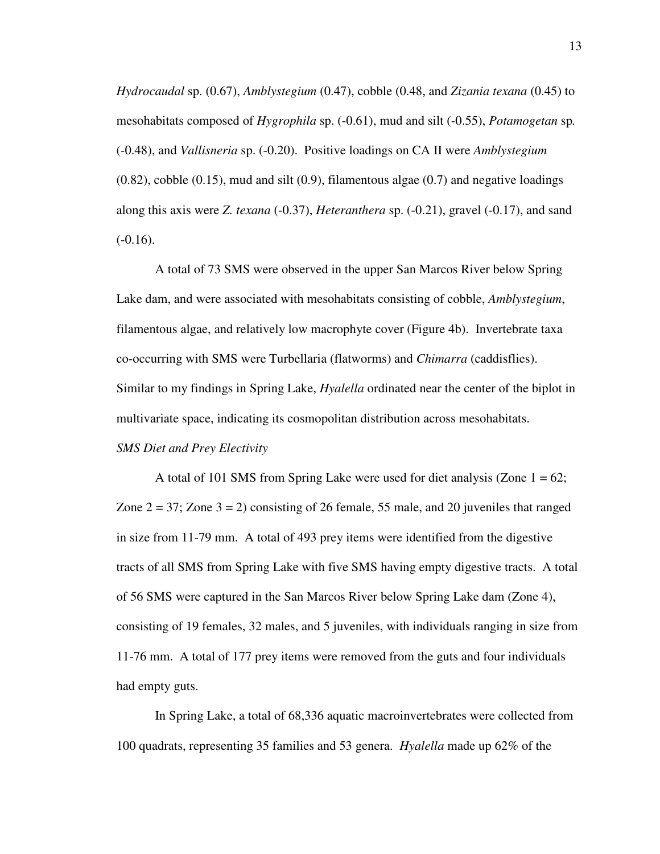*Hydrocaudal* sp. (0.67), *Amblystegium* (0.47), cobble (0.48, and *Zizania texana* (0.45) to mesohabitats composed of *Hygrophila* sp. (-0.61), mud and silt (-0.55), *Potamogetan* sp*.* (-0.48), and *Vallisneria* sp. (-0.20). Positive loadings on CA II were *Amblystegium*  $(0.82)$ , cobble  $(0.15)$ , mud and silt  $(0.9)$ , filamentous algae  $(0.7)$  and negative loadings along this axis were *Z. texana* (-0.37), *Heteranthera* sp. (-0.21), gravel (-0.17), and sand  $(-0.16)$ .

A total of 73 SMS were observed in the upper San Marcos River below Spring Lake dam, and were associated with mesohabitats consisting of cobble, *Amblystegium*, filamentous algae, and relatively low macrophyte cover (Figure 4b). Invertebrate taxa co-occurring with SMS were Turbellaria (flatworms) and *Chimarra* (caddisflies). Similar to my findings in Spring Lake, *Hyalella* ordinated near the center of the biplot in multivariate space, indicating its cosmopolitan distribution across mesohabitats. *SMS Diet and Prey Electivity* 

A total of 101 SMS from Spring Lake were used for diet analysis (Zone  $1 = 62$ ; Zone  $2 = 37$ ; Zone  $3 = 2$ ) consisting of 26 female, 55 male, and 20 juveniles that ranged in size from 11-79 mm. A total of 493 prey items were identified from the digestive tracts of all SMS from Spring Lake with five SMS having empty digestive tracts. A total of 56 SMS were captured in the San Marcos River below Spring Lake dam (Zone 4), consisting of 19 females, 32 males, and 5 juveniles, with individuals ranging in size from 11-76 mm. A total of 177 prey items were removed from the guts and four individuals had empty guts.

In Spring Lake, a total of 68,336 aquatic macroinvertebrates were collected from 100 quadrats, representing 35 families and 53 genera. *Hyalella* made up 62% of the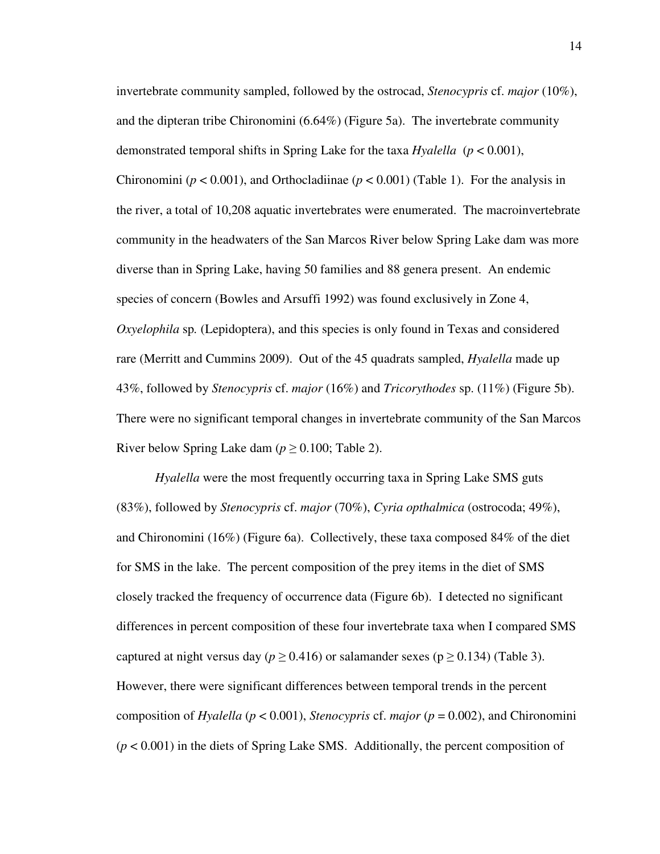invertebrate community sampled, followed by the ostrocad, *Stenocypris* cf. *major* (10%), and the dipteran tribe Chironomini (6.64%) (Figure 5a). The invertebrate community demonstrated temporal shifts in Spring Lake for the taxa *Hyalella* (*p* < 0.001), Chironomini ( $p < 0.001$ ), and Orthocladiinae ( $p < 0.001$ ) (Table 1). For the analysis in the river, a total of 10,208 aquatic invertebrates were enumerated. The macroinvertebrate community in the headwaters of the San Marcos River below Spring Lake dam was more diverse than in Spring Lake, having 50 families and 88 genera present. An endemic species of concern (Bowles and Arsuffi 1992) was found exclusively in Zone 4, *Oxyelophila* sp*.* (Lepidoptera), and this species is only found in Texas and considered rare (Merritt and Cummins 2009). Out of the 45 quadrats sampled, *Hyalella* made up 43%, followed by *Stenocypris* cf. *major* (16%) and *Tricorythodes* sp. (11%) (Figure 5b). There were no significant temporal changes in invertebrate community of the San Marcos River below Spring Lake dam ( $p \ge 0.100$ ; Table 2).

*Hyalella* were the most frequently occurring taxa in Spring Lake SMS guts (83%), followed by *Stenocypris* cf. *major* (70%), *Cyria opthalmica* (ostrocoda; 49%), and Chironomini (16%) (Figure 6a). Collectively, these taxa composed 84% of the diet for SMS in the lake. The percent composition of the prey items in the diet of SMS closely tracked the frequency of occurrence data (Figure 6b). I detected no significant differences in percent composition of these four invertebrate taxa when I compared SMS captured at night versus day ( $p \ge 0.416$ ) or salamander sexes ( $p \ge 0.134$ ) (Table 3). However, there were significant differences between temporal trends in the percent composition of *Hyalella* (*p* < 0.001), *Stenocypris* cf. *major* (*p* = 0.002), and Chironomini (*p* < 0.001) in the diets of Spring Lake SMS. Additionally, the percent composition of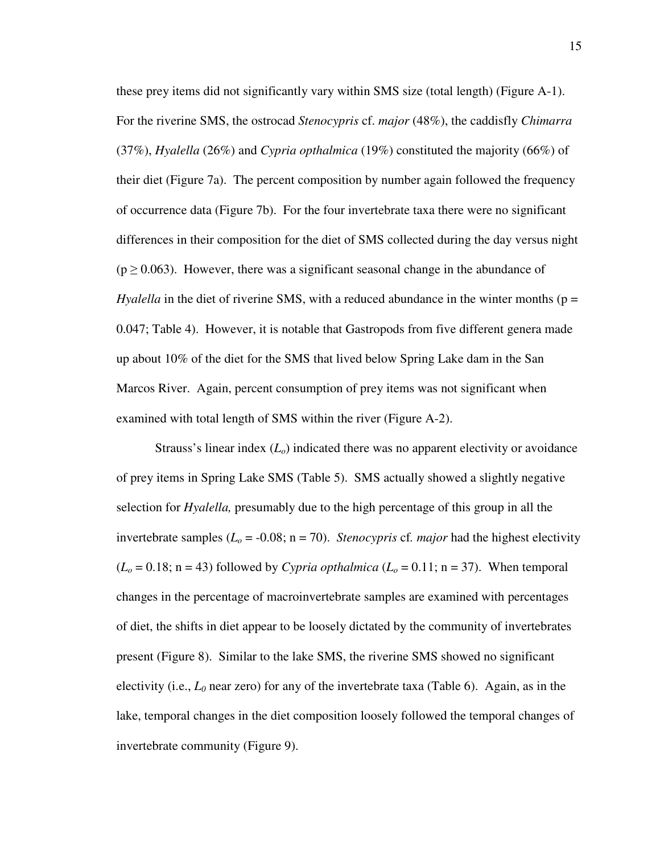these prey items did not significantly vary within SMS size (total length) (Figure A-1). For the riverine SMS, the ostrocad *Stenocypris* cf. *major* (48%), the caddisfly *Chimarra* (37%), *Hyalella* (26%) and *Cypria opthalmica* (19%) constituted the majority (66%) of their diet (Figure 7a). The percent composition by number again followed the frequency of occurrence data (Figure 7b). For the four invertebrate taxa there were no significant differences in their composition for the diet of SMS collected during the day versus night  $(p \ge 0.063)$ . However, there was a significant seasonal change in the abundance of *Hyalella* in the diet of riverine SMS, with a reduced abundance in the winter months ( $p =$ 0.047; Table 4). However, it is notable that Gastropods from five different genera made up about 10% of the diet for the SMS that lived below Spring Lake dam in the San Marcos River. Again, percent consumption of prey items was not significant when examined with total length of SMS within the river (Figure A-2).

Strauss's linear index (*Lo*) indicated there was no apparent electivity or avoidance of prey items in Spring Lake SMS (Table 5). SMS actually showed a slightly negative selection for *Hyalella,* presumably due to the high percentage of this group in all the invertebrate samples  $(L<sub>o</sub> = -0.08; n = 70)$ . *Stenocypris* cf. *major* had the highest electivity  $(L<sub>o</sub> = 0.18; n = 43)$  followed by *Cypria opthalmica*  $(L<sub>o</sub> = 0.11; n = 37)$ . When temporal changes in the percentage of macroinvertebrate samples are examined with percentages of diet, the shifts in diet appear to be loosely dictated by the community of invertebrates present (Figure 8). Similar to the lake SMS, the riverine SMS showed no significant electivity (i.e.,  $L_0$  near zero) for any of the invertebrate taxa (Table 6). Again, as in the lake, temporal changes in the diet composition loosely followed the temporal changes of invertebrate community (Figure 9).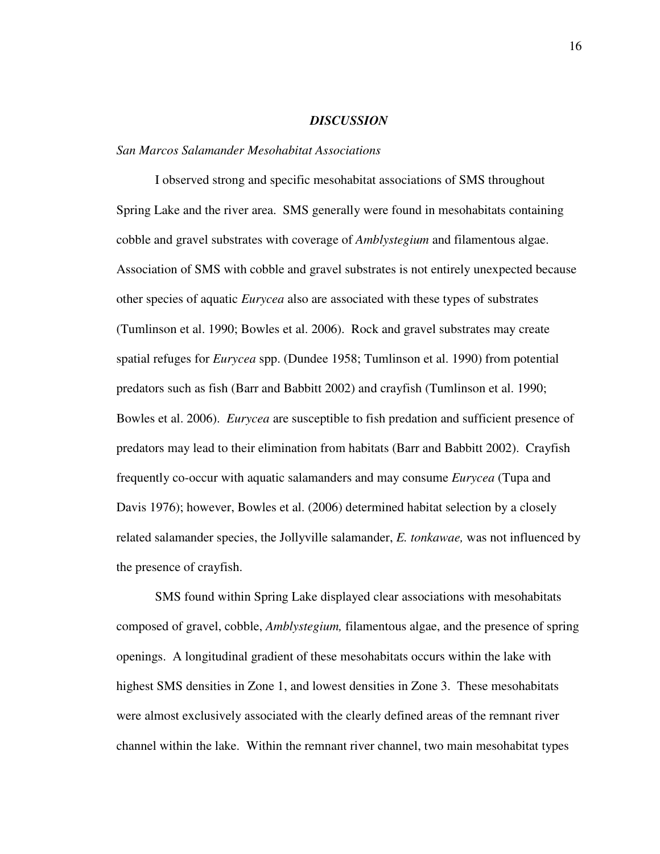#### *DISCUSSION*

#### *San Marcos Salamander Mesohabitat Associations*

I observed strong and specific mesohabitat associations of SMS throughout Spring Lake and the river area. SMS generally were found in mesohabitats containing cobble and gravel substrates with coverage of *Amblystegium* and filamentous algae. Association of SMS with cobble and gravel substrates is not entirely unexpected because other species of aquatic *Eurycea* also are associated with these types of substrates (Tumlinson et al. 1990; Bowles et al. 2006). Rock and gravel substrates may create spatial refuges for *Eurycea* spp. (Dundee 1958; Tumlinson et al. 1990) from potential predators such as fish (Barr and Babbitt 2002) and crayfish (Tumlinson et al. 1990; Bowles et al. 2006). *Eurycea* are susceptible to fish predation and sufficient presence of predators may lead to their elimination from habitats (Barr and Babbitt 2002). Crayfish frequently co-occur with aquatic salamanders and may consume *Eurycea* (Tupa and Davis 1976); however, Bowles et al. (2006) determined habitat selection by a closely related salamander species, the Jollyville salamander, *E. tonkawae,* was not influenced by the presence of crayfish.

SMS found within Spring Lake displayed clear associations with mesohabitats composed of gravel, cobble, *Amblystegium,* filamentous algae, and the presence of spring openings. A longitudinal gradient of these mesohabitats occurs within the lake with highest SMS densities in Zone 1, and lowest densities in Zone 3. These mesohabitats were almost exclusively associated with the clearly defined areas of the remnant river channel within the lake. Within the remnant river channel, two main mesohabitat types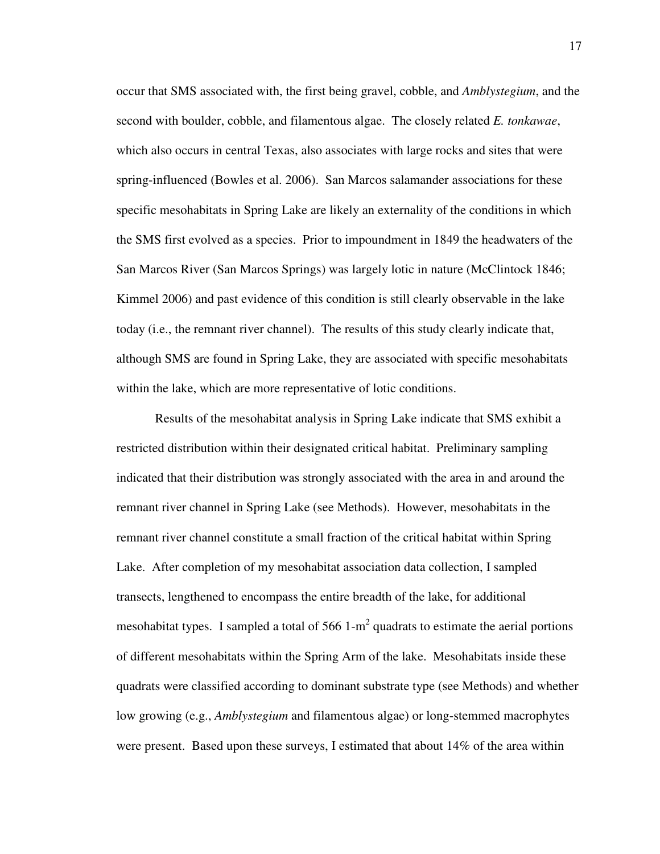occur that SMS associated with, the first being gravel, cobble, and *Amblystegium*, and the second with boulder, cobble, and filamentous algae. The closely related *E. tonkawae*, which also occurs in central Texas, also associates with large rocks and sites that were spring-influenced (Bowles et al. 2006). San Marcos salamander associations for these specific mesohabitats in Spring Lake are likely an externality of the conditions in which the SMS first evolved as a species. Prior to impoundment in 1849 the headwaters of the San Marcos River (San Marcos Springs) was largely lotic in nature (McClintock 1846; Kimmel 2006) and past evidence of this condition is still clearly observable in the lake today (i.e., the remnant river channel). The results of this study clearly indicate that, although SMS are found in Spring Lake, they are associated with specific mesohabitats within the lake, which are more representative of lotic conditions.

Results of the mesohabitat analysis in Spring Lake indicate that SMS exhibit a restricted distribution within their designated critical habitat. Preliminary sampling indicated that their distribution was strongly associated with the area in and around the remnant river channel in Spring Lake (see Methods). However, mesohabitats in the remnant river channel constitute a small fraction of the critical habitat within Spring Lake. After completion of my mesohabitat association data collection, I sampled transects, lengthened to encompass the entire breadth of the lake, for additional mesohabitat types. I sampled a total of  $566 1-m^2$  quadrats to estimate the aerial portions of different mesohabitats within the Spring Arm of the lake. Mesohabitats inside these quadrats were classified according to dominant substrate type (see Methods) and whether low growing (e.g., *Amblystegium* and filamentous algae) or long-stemmed macrophytes were present. Based upon these surveys, I estimated that about 14% of the area within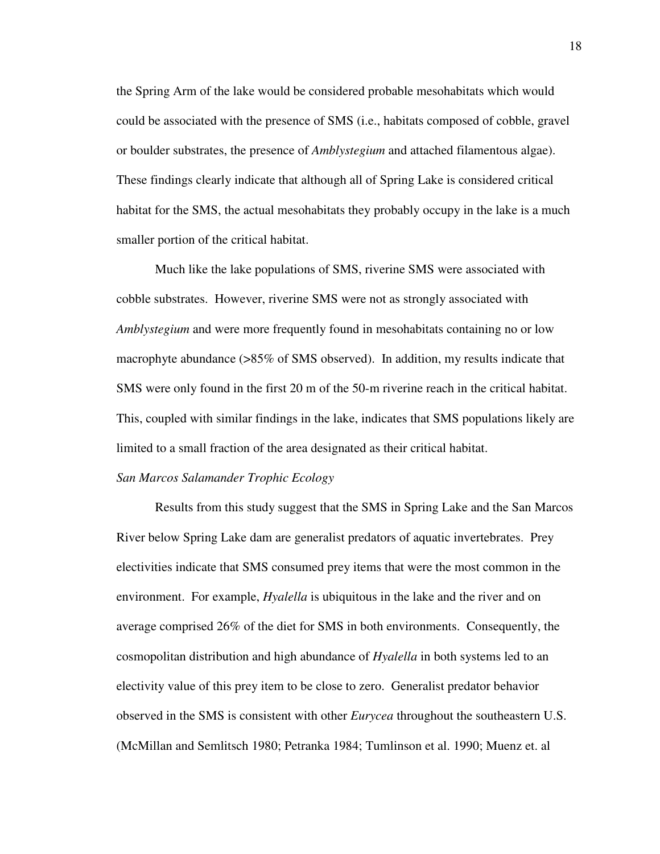the Spring Arm of the lake would be considered probable mesohabitats which would could be associated with the presence of SMS (i.e., habitats composed of cobble, gravel or boulder substrates, the presence of *Amblystegium* and attached filamentous algae). These findings clearly indicate that although all of Spring Lake is considered critical habitat for the SMS, the actual mesohabitats they probably occupy in the lake is a much smaller portion of the critical habitat.

 Much like the lake populations of SMS, riverine SMS were associated with cobble substrates. However, riverine SMS were not as strongly associated with *Amblystegium* and were more frequently found in mesohabitats containing no or low macrophyte abundance (>85% of SMS observed). In addition, my results indicate that SMS were only found in the first 20 m of the 50-m riverine reach in the critical habitat. This, coupled with similar findings in the lake, indicates that SMS populations likely are limited to a small fraction of the area designated as their critical habitat.

#### *San Marcos Salamander Trophic Ecology*

 Results from this study suggest that the SMS in Spring Lake and the San Marcos River below Spring Lake dam are generalist predators of aquatic invertebrates. Prey electivities indicate that SMS consumed prey items that were the most common in the environment. For example, *Hyalella* is ubiquitous in the lake and the river and on average comprised 26% of the diet for SMS in both environments. Consequently, the cosmopolitan distribution and high abundance of *Hyalella* in both systems led to an electivity value of this prey item to be close to zero. Generalist predator behavior observed in the SMS is consistent with other *Eurycea* throughout the southeastern U.S. (McMillan and Semlitsch 1980; Petranka 1984; Tumlinson et al. 1990; Muenz et. al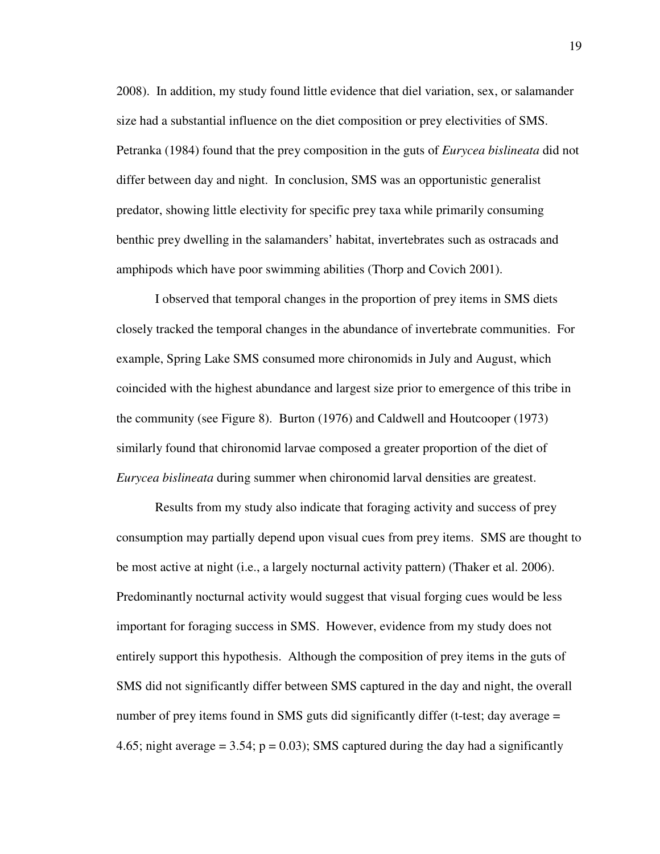2008). In addition, my study found little evidence that diel variation, sex, or salamander size had a substantial influence on the diet composition or prey electivities of SMS. Petranka (1984) found that the prey composition in the guts of *Eurycea bislineata* did not differ between day and night. In conclusion, SMS was an opportunistic generalist predator, showing little electivity for specific prey taxa while primarily consuming benthic prey dwelling in the salamanders' habitat, invertebrates such as ostracads and amphipods which have poor swimming abilities (Thorp and Covich 2001).

 I observed that temporal changes in the proportion of prey items in SMS diets closely tracked the temporal changes in the abundance of invertebrate communities. For example, Spring Lake SMS consumed more chironomids in July and August, which coincided with the highest abundance and largest size prior to emergence of this tribe in the community (see Figure 8). Burton (1976) and Caldwell and Houtcooper (1973) similarly found that chironomid larvae composed a greater proportion of the diet of *Eurycea bislineata* during summer when chironomid larval densities are greatest.

 Results from my study also indicate that foraging activity and success of prey consumption may partially depend upon visual cues from prey items. SMS are thought to be most active at night (i.e., a largely nocturnal activity pattern) (Thaker et al. 2006). Predominantly nocturnal activity would suggest that visual forging cues would be less important for foraging success in SMS. However, evidence from my study does not entirely support this hypothesis. Although the composition of prey items in the guts of SMS did not significantly differ between SMS captured in the day and night, the overall number of prey items found in SMS guts did significantly differ (t-test; day average = 4.65; night average  $= 3.54$ ;  $p = 0.03$ ); SMS captured during the day had a significantly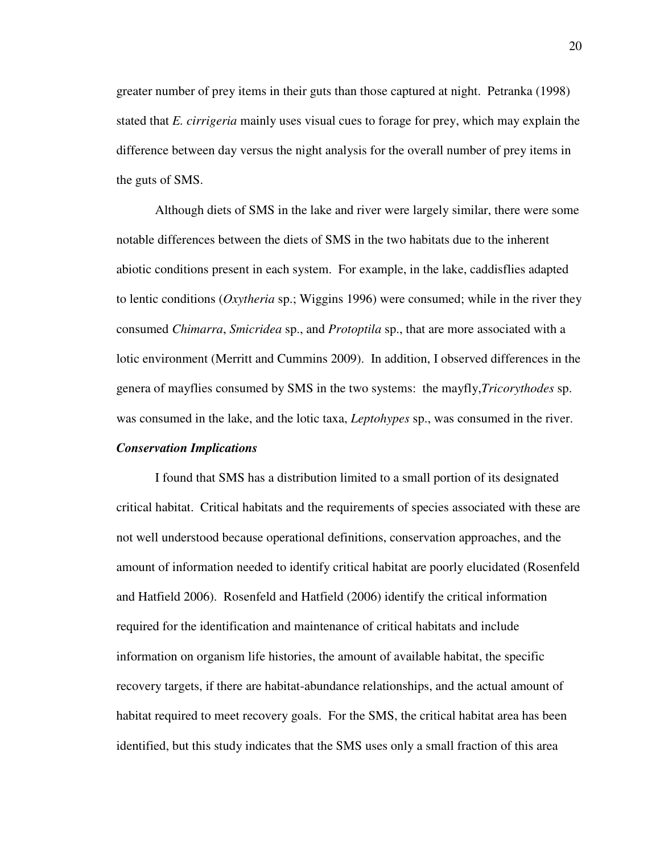greater number of prey items in their guts than those captured at night. Petranka (1998) stated that *E. cirrigeria* mainly uses visual cues to forage for prey, which may explain the difference between day versus the night analysis for the overall number of prey items in the guts of SMS.

Although diets of SMS in the lake and river were largely similar, there were some notable differences between the diets of SMS in the two habitats due to the inherent abiotic conditions present in each system. For example, in the lake, caddisflies adapted to lentic conditions (*Oxytheria* sp.; Wiggins 1996) were consumed; while in the river they consumed *Chimarra*, *Smicridea* sp., and *Protoptila* sp., that are more associated with a lotic environment (Merritt and Cummins 2009). In addition, I observed differences in the genera of mayflies consumed by SMS in the two systems: the mayfly,*Tricorythodes* sp. was consumed in the lake, and the lotic taxa, *Leptohypes* sp., was consumed in the river.

#### *Conservation Implications*

I found that SMS has a distribution limited to a small portion of its designated critical habitat. Critical habitats and the requirements of species associated with these are not well understood because operational definitions, conservation approaches, and the amount of information needed to identify critical habitat are poorly elucidated (Rosenfeld and Hatfield 2006). Rosenfeld and Hatfield (2006) identify the critical information required for the identification and maintenance of critical habitats and include information on organism life histories, the amount of available habitat, the specific recovery targets, if there are habitat-abundance relationships, and the actual amount of habitat required to meet recovery goals. For the SMS, the critical habitat area has been identified, but this study indicates that the SMS uses only a small fraction of this area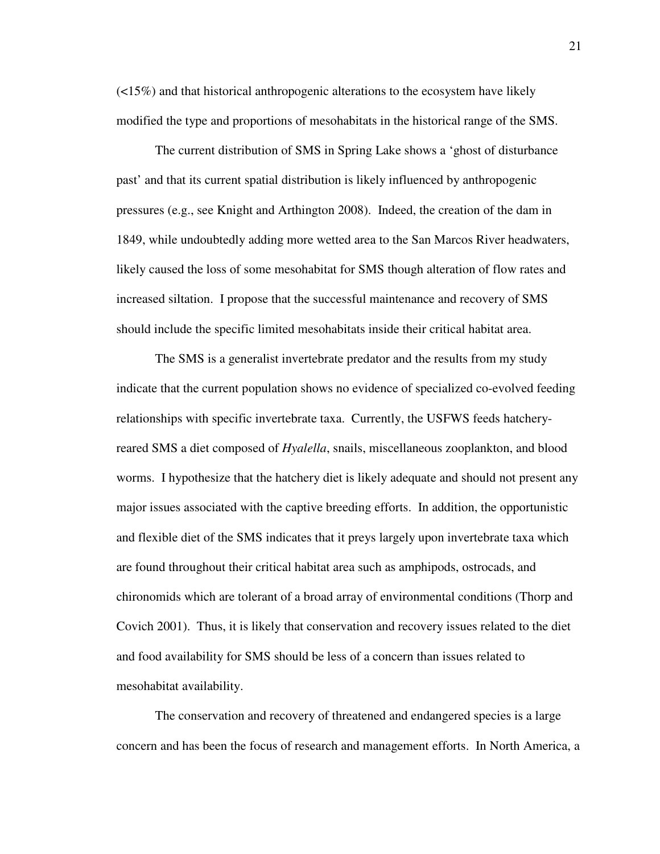$\left($  <15%) and that historical anthropogenic alterations to the ecosystem have likely modified the type and proportions of mesohabitats in the historical range of the SMS.

The current distribution of SMS in Spring Lake shows a 'ghost of disturbance past' and that its current spatial distribution is likely influenced by anthropogenic pressures (e.g., see Knight and Arthington 2008). Indeed, the creation of the dam in 1849, while undoubtedly adding more wetted area to the San Marcos River headwaters, likely caused the loss of some mesohabitat for SMS though alteration of flow rates and increased siltation. I propose that the successful maintenance and recovery of SMS should include the specific limited mesohabitats inside their critical habitat area.

The SMS is a generalist invertebrate predator and the results from my study indicate that the current population shows no evidence of specialized co-evolved feeding relationships with specific invertebrate taxa. Currently, the USFWS feeds hatcheryreared SMS a diet composed of *Hyalella*, snails, miscellaneous zooplankton, and blood worms. I hypothesize that the hatchery diet is likely adequate and should not present any major issues associated with the captive breeding efforts. In addition, the opportunistic and flexible diet of the SMS indicates that it preys largely upon invertebrate taxa which are found throughout their critical habitat area such as amphipods, ostrocads, and chironomids which are tolerant of a broad array of environmental conditions (Thorp and Covich 2001). Thus, it is likely that conservation and recovery issues related to the diet and food availability for SMS should be less of a concern than issues related to mesohabitat availability.

The conservation and recovery of threatened and endangered species is a large concern and has been the focus of research and management efforts. In North America, a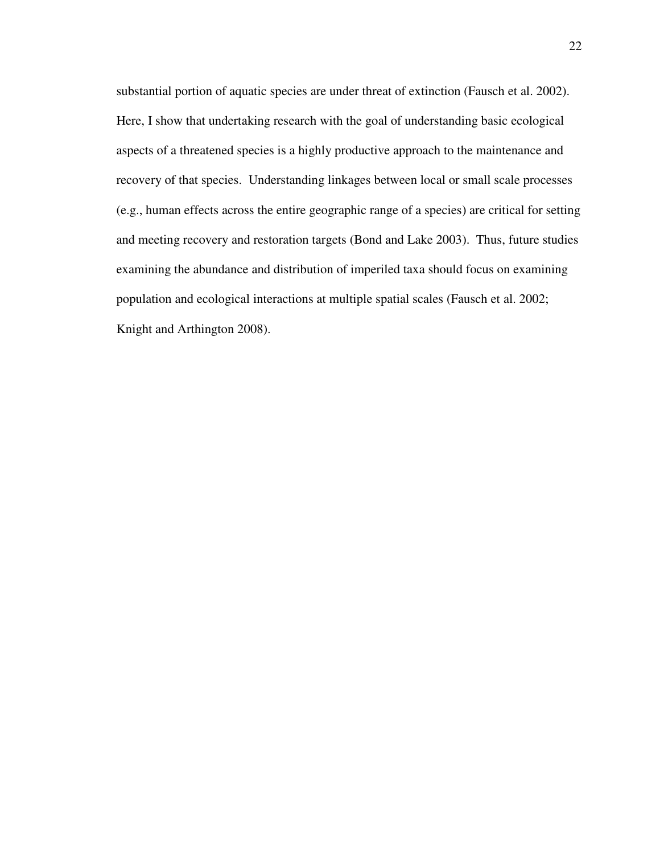substantial portion of aquatic species are under threat of extinction (Fausch et al. 2002). Here, I show that undertaking research with the goal of understanding basic ecological aspects of a threatened species is a highly productive approach to the maintenance and recovery of that species. Understanding linkages between local or small scale processes (e.g., human effects across the entire geographic range of a species) are critical for setting and meeting recovery and restoration targets (Bond and Lake 2003). Thus, future studies examining the abundance and distribution of imperiled taxa should focus on examining population and ecological interactions at multiple spatial scales (Fausch et al. 2002; Knight and Arthington 2008).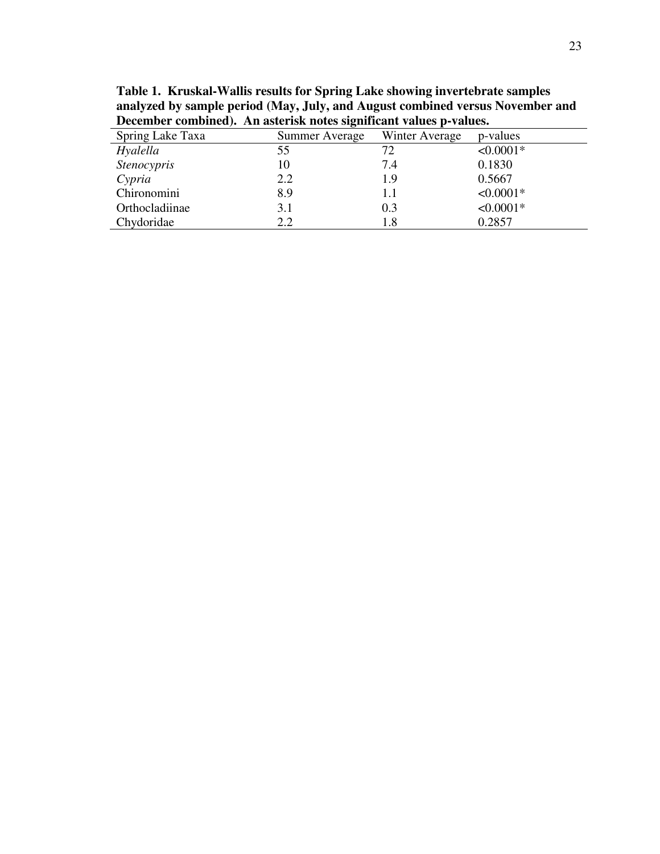**Table 1. Kruskal-Wallis results for Spring Lake showing invertebrate samples analyzed by sample period (May, July, and August combined versus November and December combined). An asterisk notes significant values p-values.** 

| Spring Lake Taxa   | Summer Average | Winter Average | p-values    |
|--------------------|----------------|----------------|-------------|
| Hyalella           | 55             | 72             | $< 0.0001*$ |
| <b>Stenocypris</b> | 10             | 7.4            | 0.1830      |
| Cypria             | 2.2            | 1.9            | 0.5667      |
| Chironomini        | 8.9            | 1.1            | $< 0.0001*$ |
| Orthocladiinae     | 3.1            | 0.3            | $< 0.0001*$ |
| Chydoridae         | 2.2            | 1.8            | 0.2857      |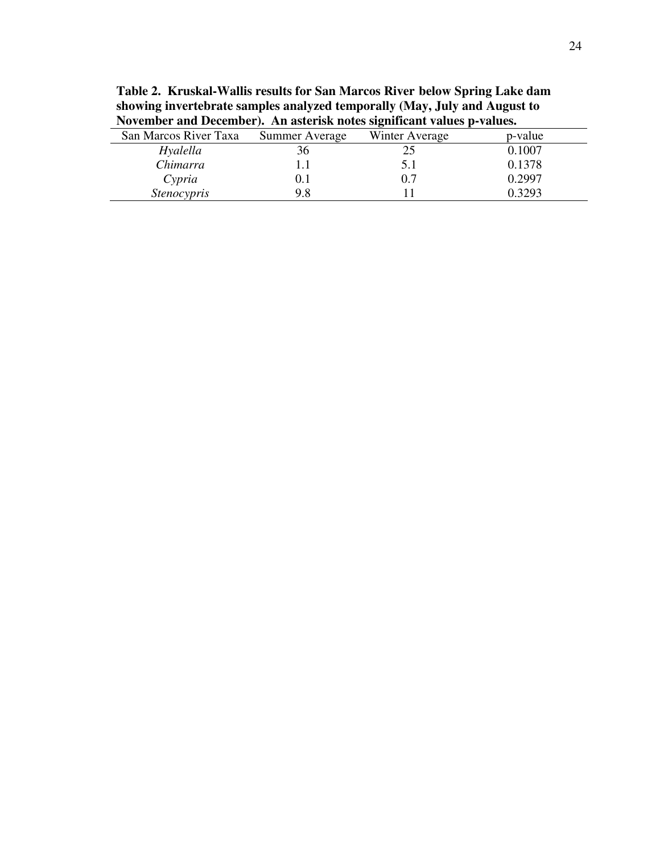**Table 2. Kruskal-Wallis results for San Marcos River below Spring Lake dam showing invertebrate samples analyzed temporally (May, July and August to November and December). An asterisk notes significant values p-values.**

| San Marcos River Taxa | Summer Average | Winter Average | p-value |
|-----------------------|----------------|----------------|---------|
| Hyalella              | 36             |                | 0.1007  |
| Chimarra              |                |                | 0.1378  |
| Cypria                | IJ. I          | 0.7            | 0.2997  |
| <b>Stenocypris</b>    | 9.8            |                | ) 3293  |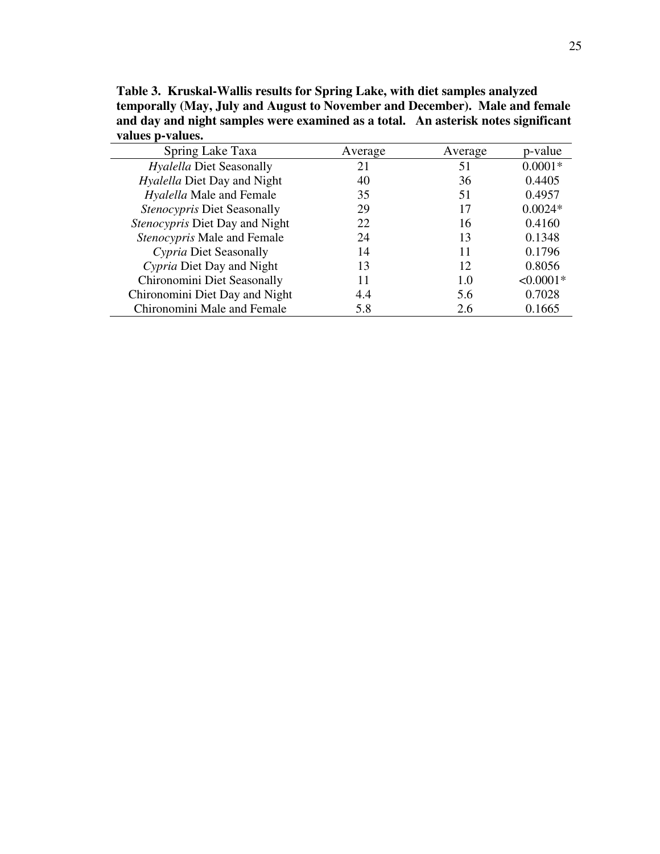**Table 3. Kruskal-Wallis results for Spring Lake, with diet samples analyzed temporally (May, July and August to November and December). Male and female and day and night samples were examined as a total. An asterisk notes significant values p-values.** 

| Spring Lake Taxa                   | Average | Average | p-value     |
|------------------------------------|---------|---------|-------------|
| <i>Hyalella Diet Seasonally</i>    | 21      | 51      | $0.0001*$   |
| <i>Hyalella</i> Diet Day and Night | 40      | 36      | 0.4405      |
| Hyalella Male and Female           | 35      | 51      | 0.4957      |
| Stenocypris Diet Seasonally        | 29      | 17      | $0.0024*$   |
| Stenocypris Diet Day and Night     | 22      | 16      | 0.4160      |
| Stenocypris Male and Female        | 24      | 13      | 0.1348      |
| Cypria Diet Seasonally             | 14      | 11      | 0.1796      |
| Cypria Diet Day and Night          | 13      | 12      | 0.8056      |
| Chironomini Diet Seasonally        | 11      | 1.0     | $< 0.0001*$ |
| Chironomini Diet Day and Night     | 4.4     | 5.6     | 0.7028      |
| Chironomini Male and Female        | 5.8     | 2.6     | 0.1665      |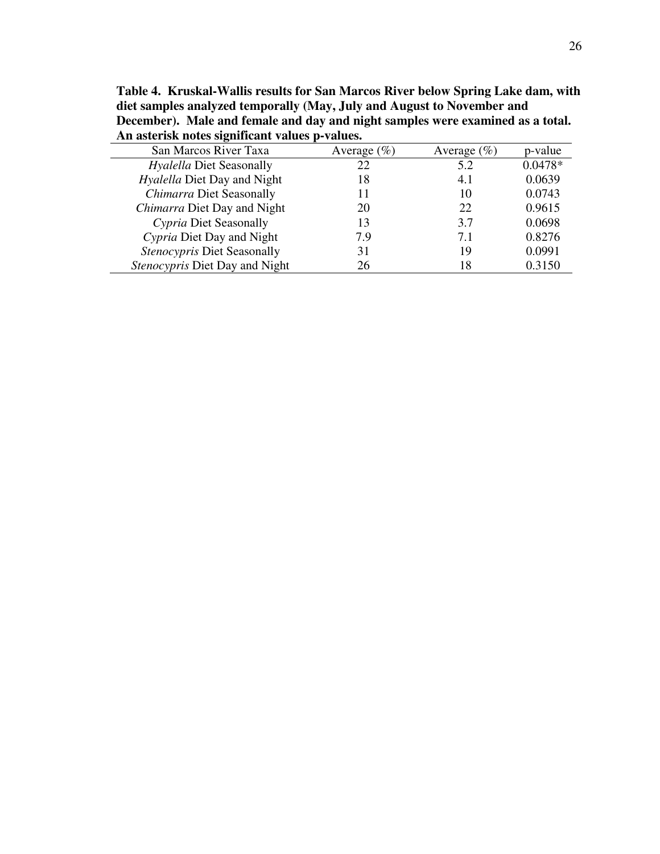| All asterisk hotes significant values p-values. |                 |                |           |  |
|-------------------------------------------------|-----------------|----------------|-----------|--|
| San Marcos River Taxa                           | Average $(\% )$ | Average $(\%)$ | p-value   |  |
| Hyalella Diet Seasonally                        | 22              | 5.2            | $0.0478*$ |  |
| <i>Hyalella</i> Diet Day and Night              | 18              | 4.1            | 0.0639    |  |
| Chimarra Diet Seasonally                        |                 | 10             | 0.0743    |  |
| Chimarra Diet Day and Night                     | 20              | 22             | 0.9615    |  |
| Cypria Diet Seasonally                          | 13              | 3.7            | 0.0698    |  |
| Cypria Diet Day and Night                       | 7.9             | 7.1            | 0.8276    |  |
| Stenocypris Diet Seasonally                     | 31              | 19             | 0.0991    |  |
| <i>Stenocypris</i> Diet Day and Night           | 26              | 18             | 0.3150    |  |

**Table 4. Kruskal-Wallis results for San Marcos River below Spring Lake dam, with diet samples analyzed temporally (May, July and August to November and December). Male and female and day and night samples were examined as a total. An asterisk notes significant values p-values.**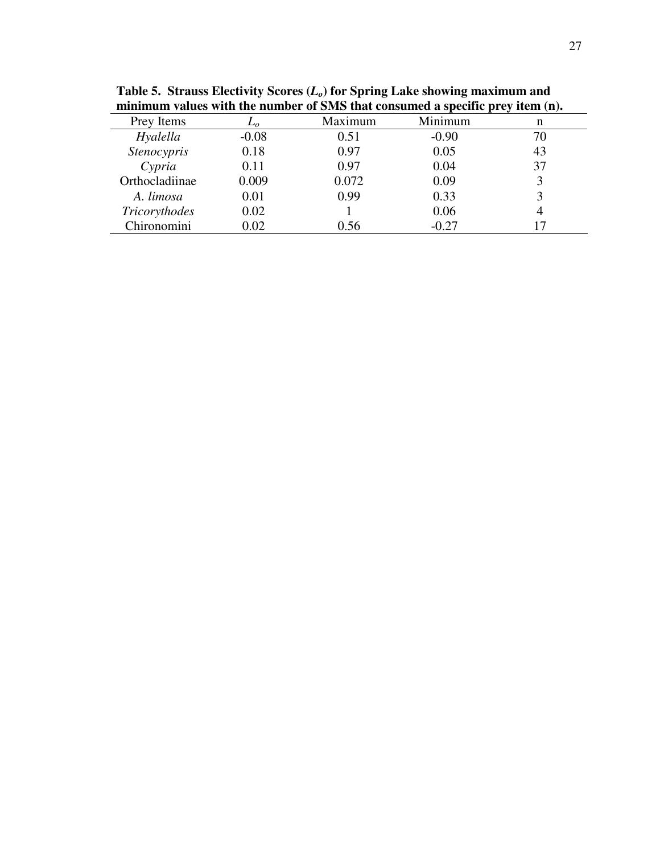|                    |         | minimum values with the humber of state that consumed a specific prey field (n). |         |    |
|--------------------|---------|----------------------------------------------------------------------------------|---------|----|
| Prey Items         | $L_0$   | Maximum                                                                          | Minimum | n  |
| Hyalella           | $-0.08$ | 0.51                                                                             | $-0.90$ | 70 |
| <b>Stenocypris</b> | 0.18    | 0.97                                                                             | 0.05    | 43 |
| $C$ <i>ypria</i>   | 0.11    | 0.97                                                                             | 0.04    | 37 |
| Orthocladiinae     | 0.009   | 0.072                                                                            | 0.09    |    |
| A. limosa          | 0.01    | 0.99                                                                             | 0.33    |    |
| Tricorythodes      | 0.02    |                                                                                  | 0.06    |    |
| Chironomini        | 0.02    | 0.56                                                                             | $-0.27$ |    |

**Table 5. Strauss Electivity Scores (***Lo***) for Spring Lake showing maximum and minimum values with the number of SMS that consumed a specific prey item (n).**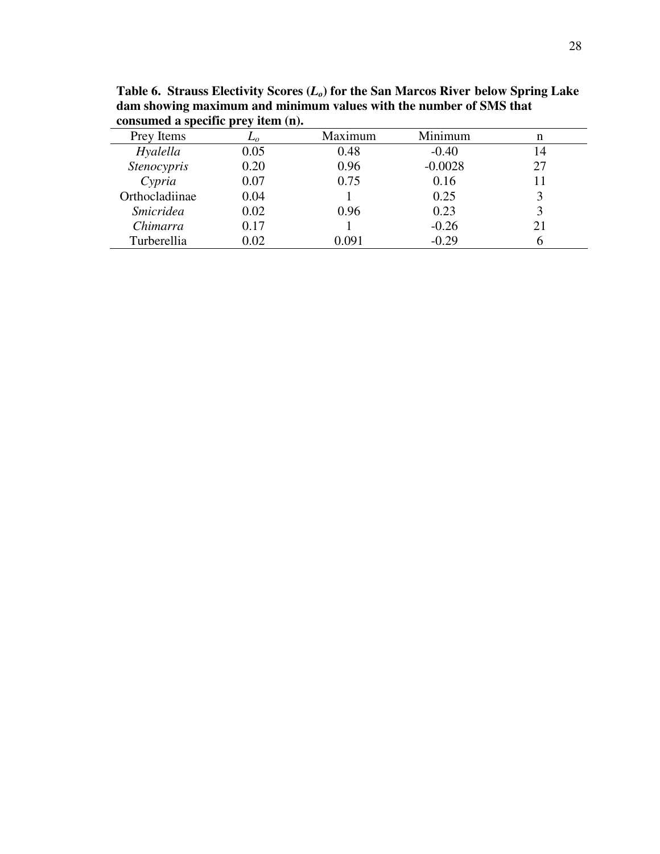| $\alpha$ consumed a specific pressure $\mu$ . |       |         |           |    |  |
|-----------------------------------------------|-------|---------|-----------|----|--|
| Prey Items                                    | $L_o$ | Maximum | Minimum   | n  |  |
| Hyalella                                      | 0.05  | 0.48    | $-0.40$   | 14 |  |
| <b>Stenocypris</b>                            | 0.20  | 0.96    | $-0.0028$ | 27 |  |
| Cypria                                        | 0.07  | 0.75    | 0.16      |    |  |
| Orthocladiinae                                | 0.04  |         | 0.25      |    |  |
| <i><u><b>Smicridea</b></u></i>                | 0.02  | 0.96    | 0.23      |    |  |
| Chimarra                                      | 0.17  |         | $-0.26$   | 21 |  |
| Turberellia                                   | 0.02  | 0.091   | $-0.29$   |    |  |
|                                               |       |         |           |    |  |

**Table 6. Strauss Electivity Scores (***Lo***) for the San Marcos River below Spring Lake dam showing maximum and minimum values with the number of SMS that consumed a specific prey item (n).**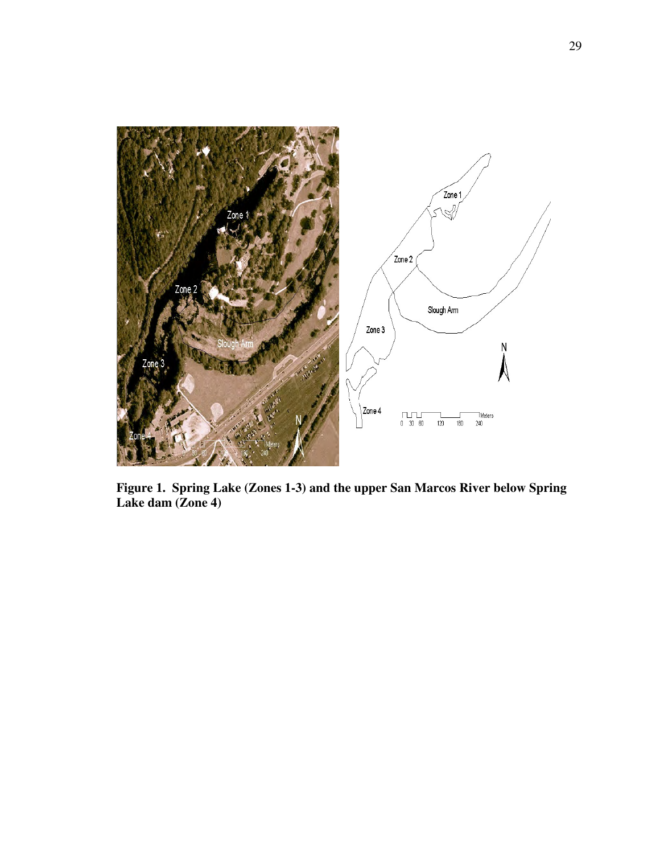

**Figure 1. Spring Lake (Zones 1-3) and the upper San Marcos River below Spring Lake dam (Zone 4)**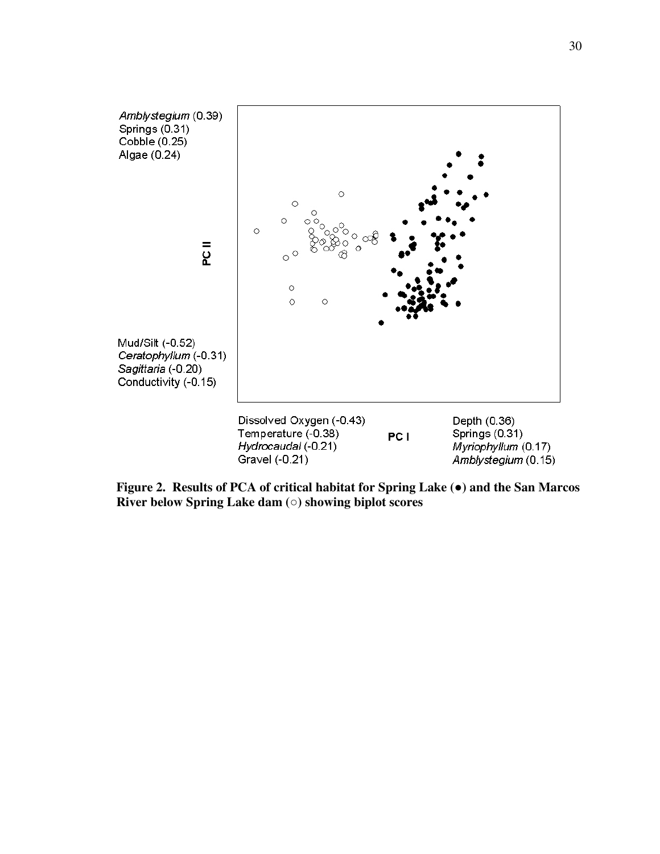

**Figure 2. Results of PCA of critical habitat for Spring Lake (**●**) and the San Marcos River below Spring Lake dam (**○**) showing biplot scores**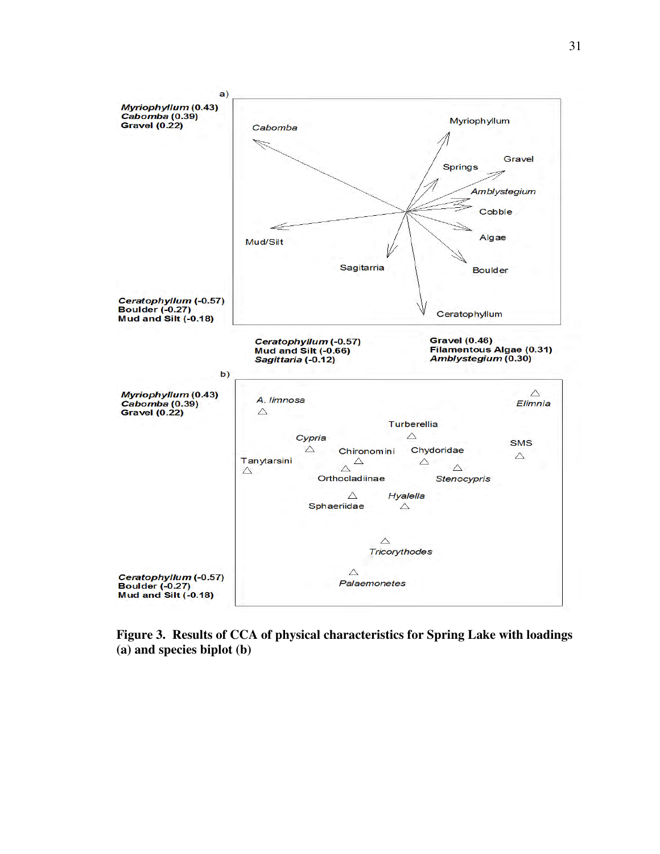

**Figure 3. Results of CCA of physical characteristics for Spring Lake with loadings (a) and species biplot (b)**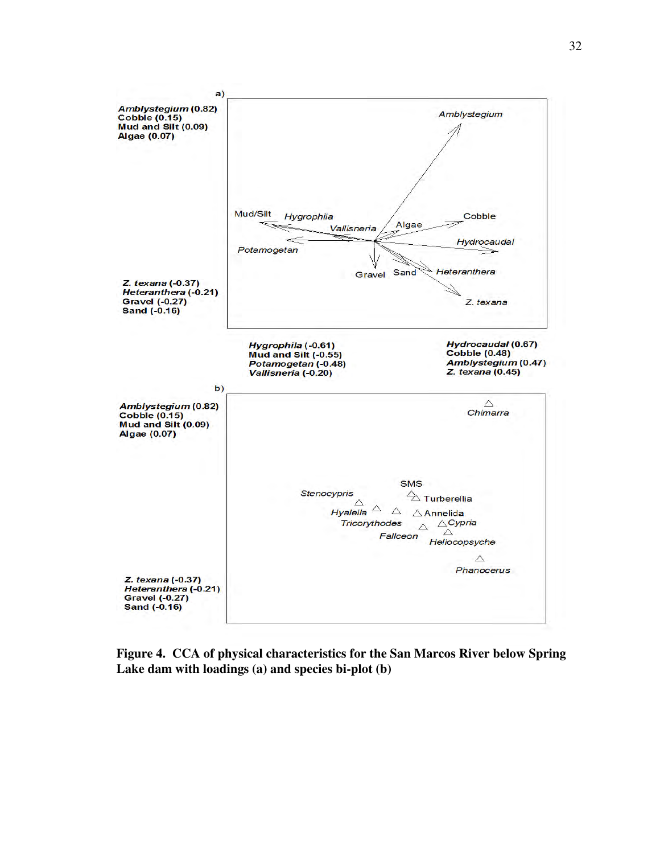

**Figure 4. CCA of physical characteristics for the San Marcos River below Spring Lake dam with loadings (a) and species bi-plot (b)**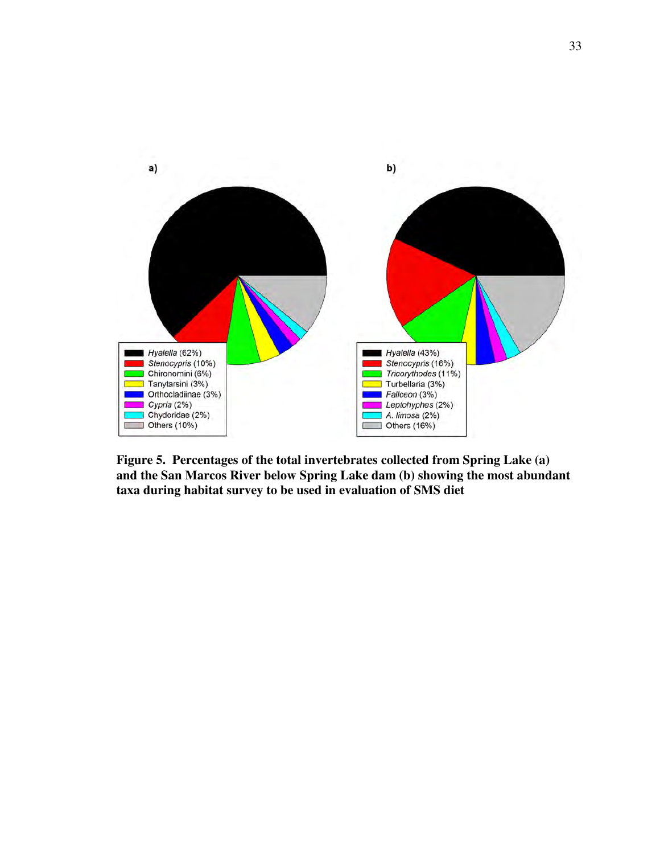

**Figure 5. Percentages of the total invertebrates collected from Spring Lake (a) and the San Marcos River below Spring Lake dam (b) showing the most abundant taxa during habitat survey to be used in evaluation of SMS diet**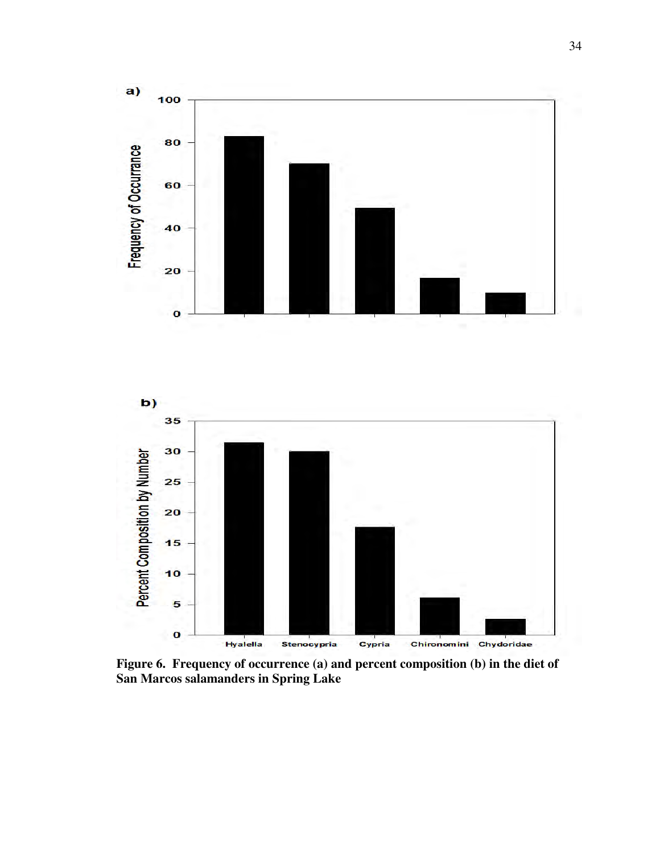



**Figure 6. Frequency of occurrence (a) and percent composition (b) in the diet of San Marcos salamanders in Spring Lake**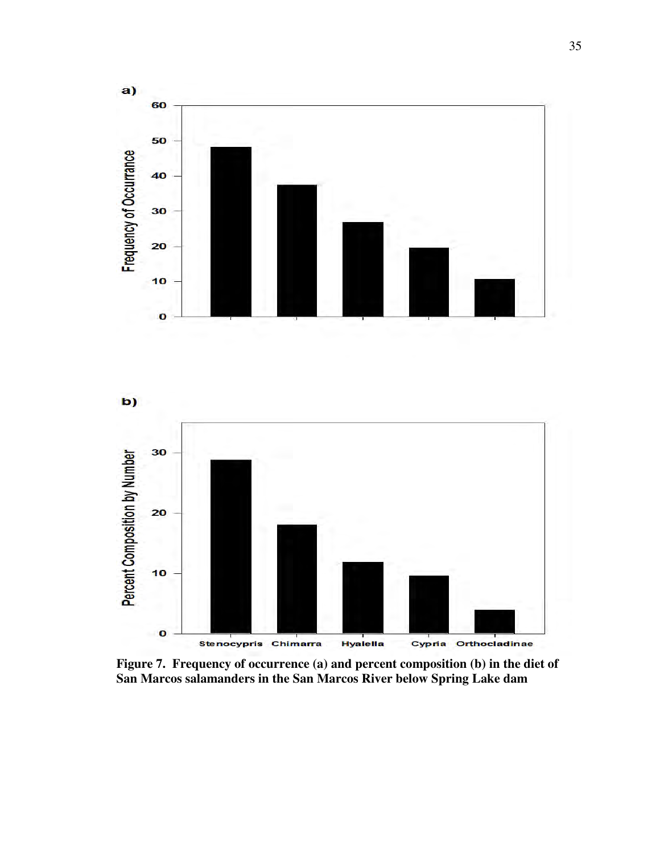





**Figure 7. Frequency of occurrence (a) and percent composition (b) in the diet of San Marcos salamanders in the San Marcos River below Spring Lake dam**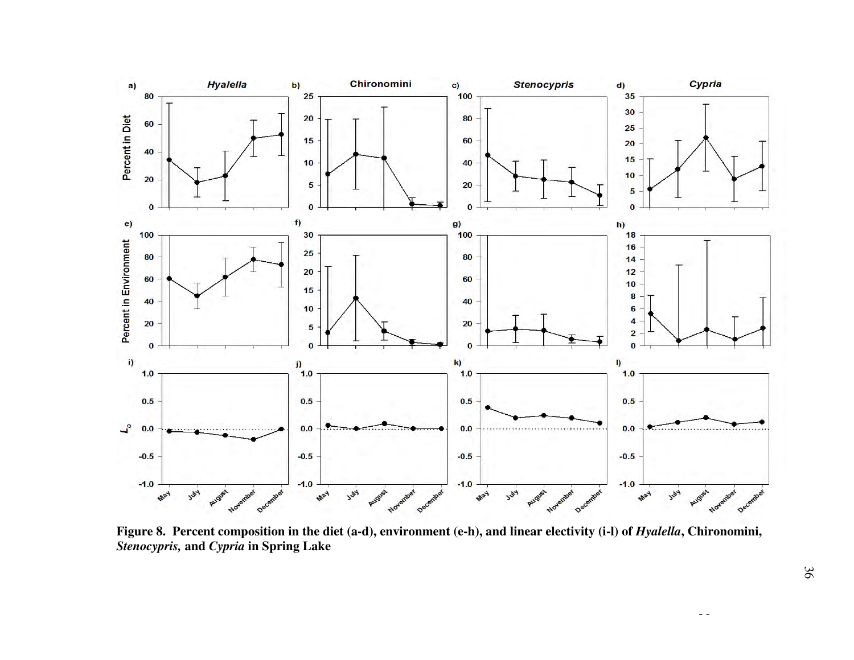

Figure 8. Percent composition in the diet (a-d), environment (e-h), and linear electivity (i-l) of *Hyalella*, Chironomini, *Stenocypris,* **and** *Cypria* **in Spring Lake**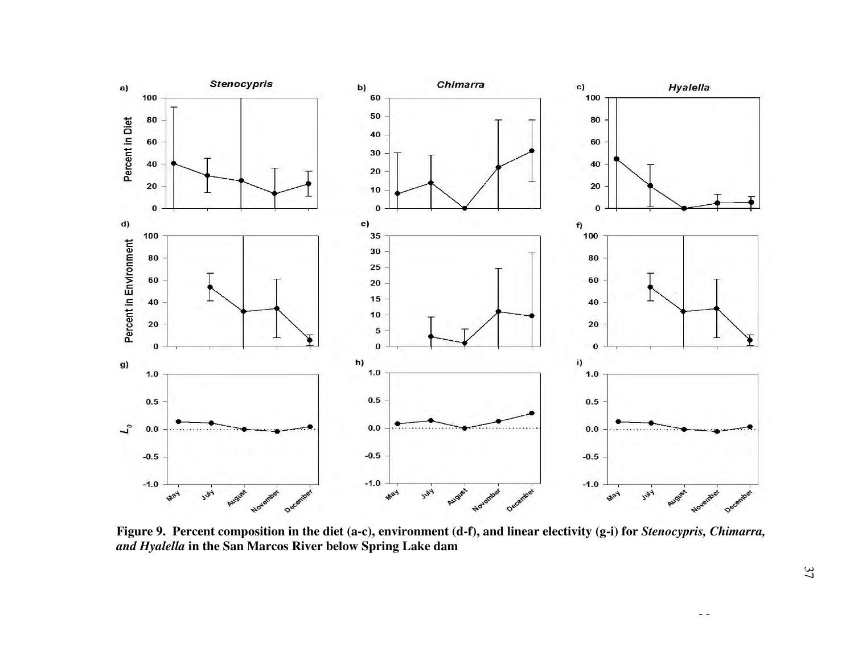

**Figure 9. Percent composition in the diet (a-c), environment (d-f), and linear electivity (g-i) for** *Stenocypris, Chimarra, and Hyalella* **in the San Marcos River below Spring Lake dam**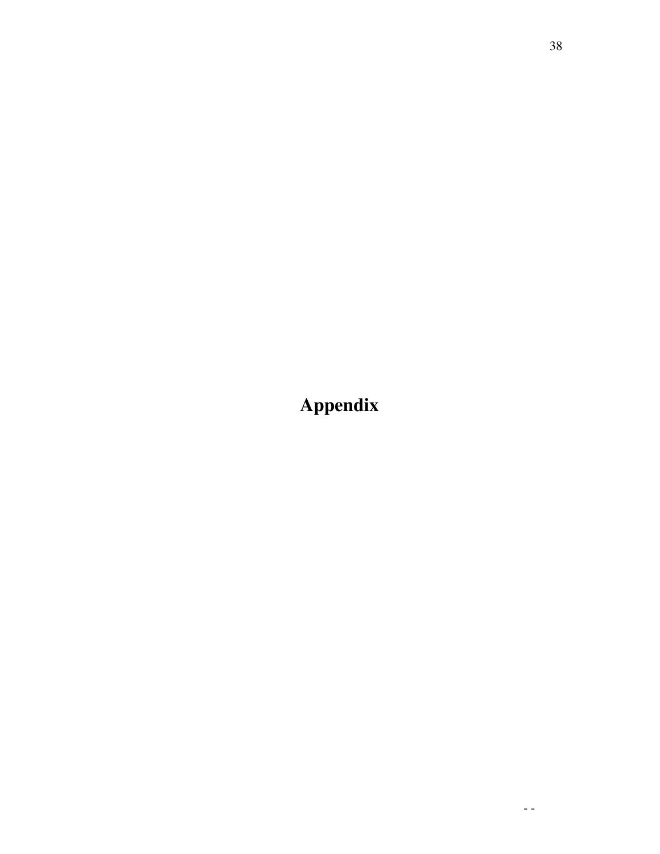**Appendix**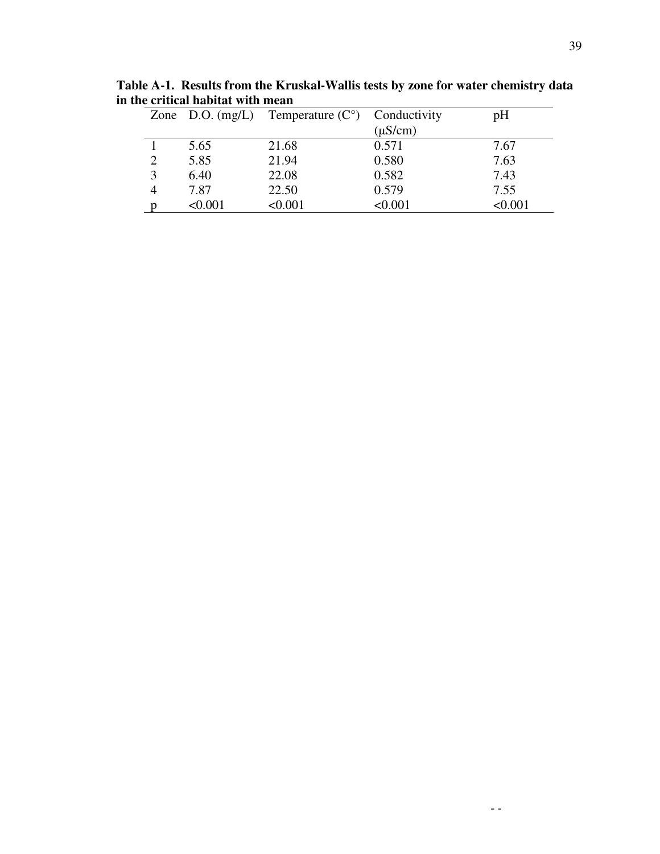|                |         | Zone D.O. $(mg/L)$ Temperature $(C^{\circ})$ Conductivity |              | pH      |
|----------------|---------|-----------------------------------------------------------|--------------|---------|
|                |         |                                                           | $(\mu S/cm)$ |         |
|                | 5.65    | 21.68                                                     | 0.571        | 7.67    |
| $\overline{2}$ | 5.85    | 21.94                                                     | 0.580        | 7.63    |
| 3              | 6.40    | 22.08                                                     | 0.582        | 7.43    |
|                | 7.87    | 22.50                                                     | 0.579        | 7.55    |
|                | < 0.001 | < 0.001                                                   | < 0.001      | < 0.001 |
|                |         |                                                           |              |         |

**Table A-1. Results from the Kruskal-Wallis tests by zone for water chemistry data in the critical habitat with mean**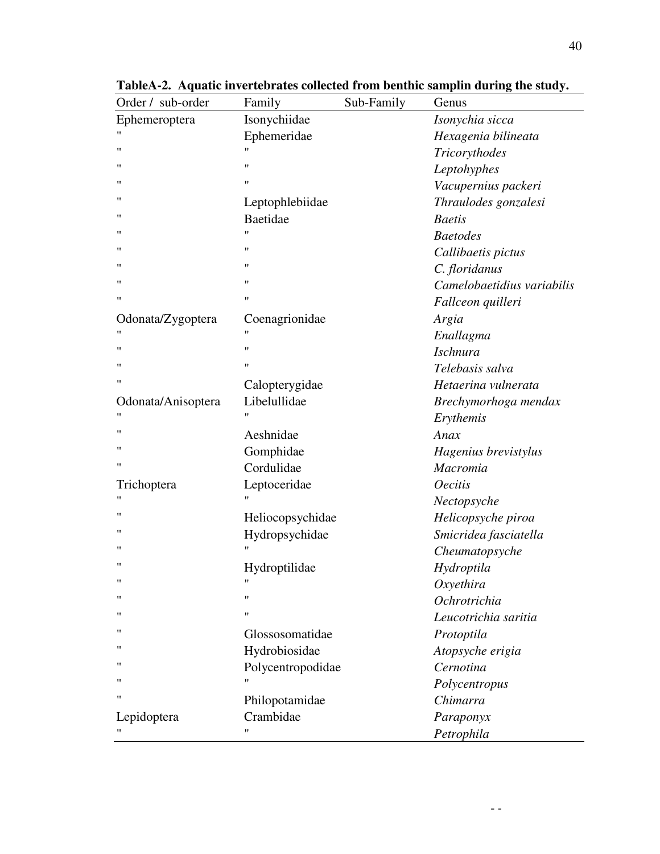| Order / sub-order  | Family             | Sub-Family | Genus                      |
|--------------------|--------------------|------------|----------------------------|
| Ephemeroptera      | Isonychiidae       |            | Isonychia sicca            |
|                    | Ephemeridae        |            | Hexagenia bilineata        |
| $^{\prime \prime}$ | 11                 |            | Tricorythodes              |
| "                  | $^{\prime\prime}$  |            | Leptohyphes                |
| "                  | $^{\prime\prime}$  |            | Vacupernius packeri        |
| "                  | Leptophlebiidae    |            | Thraulodes gonzalesi       |
| "                  | Baetidae           |            | <b>Baetis</b>              |
| "                  | $^{\prime\prime}$  |            | <b>Baetodes</b>            |
| "                  | $^{\prime\prime}$  |            | Callibaetis pictus         |
| "                  | 11                 |            | C. floridanus              |
| "                  | 11                 |            | Camelobaetidius variabilis |
| $^{\prime \prime}$ | $^{\prime\prime}$  |            | Fallceon quilleri          |
| Odonata/Zygoptera  | Coenagrionidae     |            | Argia                      |
|                    | "                  |            | Enallagma                  |
| $^{\prime \prime}$ | $^{\prime\prime}$  |            | <b>Ischnura</b>            |
| "                  | $^{\prime\prime}$  |            | Telebasis salva            |
| 11                 | Calopterygidae     |            | Hetaerina vulnerata        |
| Odonata/Anisoptera | Libelullidae       |            | Brechymorhoga mendax       |
|                    | $^{\prime\prime}$  |            | Erythemis                  |
| "                  | Aeshnidae          |            | Anax                       |
| "                  | Gomphidae          |            | Hagenius brevistylus       |
| 11                 | Cordulidae         |            | Macromia                   |
| Trichoptera        | Leptoceridae       |            | <b>Oecitis</b>             |
| "                  | "                  |            | Nectopsyche                |
| "                  | Heliocopsychidae   |            | Helicopsyche piroa         |
| "                  | Hydropsychidae     |            | Smicridea fasciatella      |
| "                  | $\pmb{\mathsf{H}}$ |            | Cheumatopsyche             |
| 11                 | Hydroptilidae      |            | Hydroptila                 |
|                    |                    |            | Oxyethira                  |
| 11                 | $^{\prime\prime}$  |            | Ochrotrichia               |
| "                  | 11                 |            | Leucotrichia saritia       |
|                    | Glossosomatidae    |            | Protoptila                 |
| "                  | Hydrobiosidae      |            | Atopsyche erigia           |
| "                  | Polycentropodidae  |            | Cernotina                  |
| "                  | 11                 |            | Polycentropus              |
| "                  | Philopotamidae     |            | Chimarra                   |
| Lepidoptera        | Crambidae          |            | Paraponyx                  |
|                    | 11                 |            | Petrophila                 |

**TableA-2. Aquatic invertebrates collected from benthic samplin during the study.**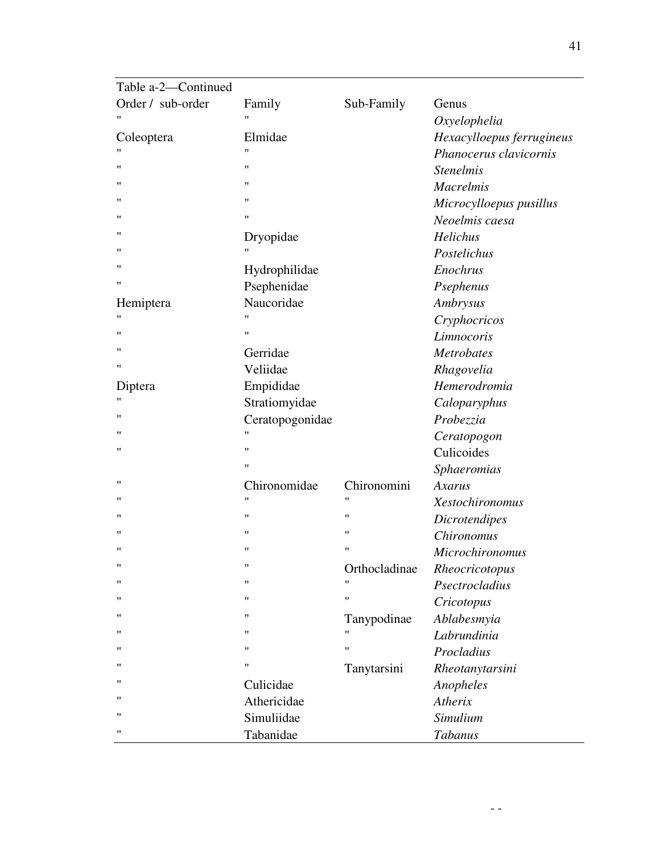| Hexacylloepus ferrugineus |
|---------------------------|
| Phanocerus clavicornis    |
|                           |
|                           |
| Microcylloepus pusillus   |
|                           |
|                           |
|                           |
|                           |
|                           |
|                           |
|                           |
|                           |
|                           |
|                           |
|                           |
|                           |
|                           |
|                           |
|                           |
|                           |
|                           |
|                           |
|                           |
|                           |
|                           |
|                           |
|                           |
|                           |
|                           |
|                           |
|                           |
|                           |
|                           |
|                           |
|                           |
|                           |
|                           |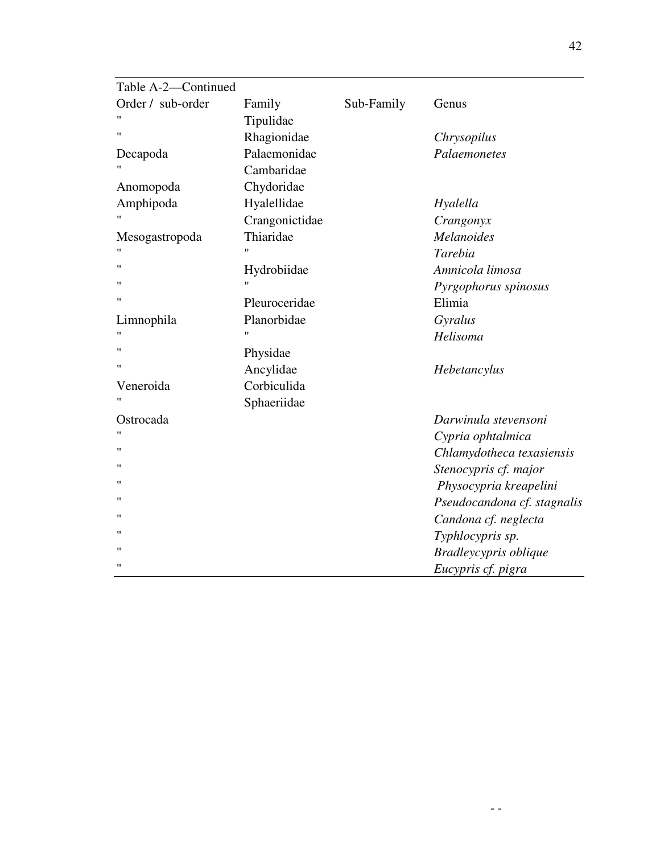| Table A-2-Continued |                |            |                             |
|---------------------|----------------|------------|-----------------------------|
| Order / sub-order   | Family         | Sub-Family | Genus                       |
|                     | Tipulidae      |            |                             |
| $^{\prime\prime}$   | Rhagionidae    |            | Chrysopilus                 |
| Decapoda            | Palaemonidae   |            | Palaemonetes                |
|                     | Cambaridae     |            |                             |
| Anomopoda           | Chydoridae     |            |                             |
| Amphipoda           | Hyalellidae    |            | Hyalella                    |
|                     | Crangonictidae |            | Crangonyx                   |
| Mesogastropoda      | Thiaridae      |            | <b>Melanoides</b>           |
|                     | $^{\prime}$    |            | Tarebia                     |
| $^{\prime\prime}$   | Hydrobiidae    |            | Amnicola limosa             |
| $^{\dagger}$        | $^{\prime}$    |            | Pyrgophorus spinosus        |
| $^{\prime\prime}$   | Pleuroceridae  |            | Elimia                      |
| Limnophila          | Planorbidae    |            | Gyralus                     |
| "                   | "              |            | Helisoma                    |
| $^{\dagger}$        | Physidae       |            |                             |
| $^{\dagger}$        | Ancylidae      |            | Hebetancylus                |
| Veneroida           | Corbiculida    |            |                             |
| 11                  | Sphaeriidae    |            |                             |
| Ostrocada           |                |            | Darwinula stevensoni        |
| "                   |                |            | Cypria ophtalmica           |
| 11                  |                |            | Chlamydotheca texasiensis   |
| 11                  |                |            | Stenocypris cf. major       |
| $^{\dagger}$        |                |            | Physocypria kreapelini      |
| $^{\dagger}$        |                |            | Pseudocandona cf. stagnalis |
| $^{\prime\prime}$   |                |            | Candona cf. neglecta        |
| $^{\prime\prime}$   |                |            | Typhlocypris sp.            |
| $^{\prime\prime}$   |                |            | Bradleycypris oblique       |
| $^{\prime\prime}$   |                |            | Eucypris cf. pigra          |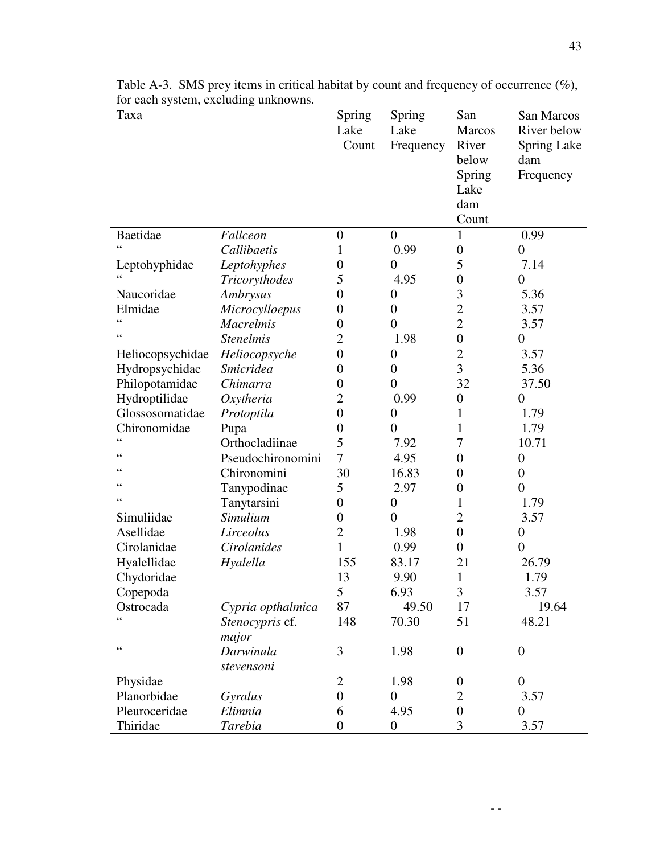| Taxa             |                   | Spring           | Spring           | San              | San Marcos                |
|------------------|-------------------|------------------|------------------|------------------|---------------------------|
|                  |                   | Lake<br>Count    | Lake             | Marcos<br>River  | River below               |
|                  |                   |                  | Frequency        | below            | <b>Spring Lake</b><br>dam |
|                  |                   |                  |                  | Spring           | Frequency                 |
|                  |                   |                  |                  | Lake             |                           |
|                  |                   |                  |                  | dam              |                           |
|                  |                   |                  |                  | Count            |                           |
| Baetidae         | Fallceon          | $\boldsymbol{0}$ | $\boldsymbol{0}$ | 1                | 0.99                      |
| $\epsilon$       | Callibaetis       | 1                | 0.99             | $\boldsymbol{0}$ | $\boldsymbol{0}$          |
| Leptohyphidae    | Leptohyphes       | $\boldsymbol{0}$ | $\overline{0}$   | 5                | 7.14                      |
| $\zeta$ $\zeta$  | Tricorythodes     | 5                | 4.95             | $\overline{0}$   | $\overline{0}$            |
| Naucoridae       | Ambrysus          | $\overline{0}$   | $\boldsymbol{0}$ | 3                | 5.36                      |
| Elmidae          | Microcylloepus    | $\boldsymbol{0}$ | $\boldsymbol{0}$ | $\overline{2}$   | 3.57                      |
| $\zeta$ $\zeta$  | <b>Macrelmis</b>  | $\boldsymbol{0}$ | $\overline{0}$   | $\overline{2}$   | 3.57                      |
| $\epsilon$       | <b>Stenelmis</b>  | $\overline{2}$   | 1.98             | $\boldsymbol{0}$ | $\boldsymbol{0}$          |
| Heliocopsychidae | Heliocopsyche     | $\overline{0}$   | $\boldsymbol{0}$ | $\overline{2}$   | 3.57                      |
| Hydropsychidae   | <b>Smicridea</b>  | $\boldsymbol{0}$ | $\overline{0}$   | 3                | 5.36                      |
| Philopotamidae   | Chimarra          | $\boldsymbol{0}$ | $\boldsymbol{0}$ | 32               | 37.50                     |
| Hydroptilidae    | Oxytheria         | 2                | 0.99             | $\boldsymbol{0}$ | $\boldsymbol{0}$          |
| Glossosomatidae  | Protoptila        | $\boldsymbol{0}$ | $\boldsymbol{0}$ | 1                | 1.79                      |
| Chironomidae     | Pupa              | $\boldsymbol{0}$ | $\boldsymbol{0}$ | 1                | 1.79                      |
| $\epsilon$       | Orthocladiinae    | 5                | 7.92             | 7                | 10.71                     |
| $\epsilon$       | Pseudochironomini | $\overline{7}$   | 4.95             | $\overline{0}$   | $\boldsymbol{0}$          |
| 66               | Chironomini       | 30               | 16.83            | $\boldsymbol{0}$ | $\boldsymbol{0}$          |
| $\leq$           | Tanypodinae       | 5                | 2.97             | $\boldsymbol{0}$ | $\overline{0}$            |
| $\zeta$ $\zeta$  | Tanytarsini       | $\boldsymbol{0}$ | $\boldsymbol{0}$ | 1                | 1.79                      |
| Simuliidae       | Simulium          | $\boldsymbol{0}$ | $\overline{0}$   | $\overline{2}$   | 3.57                      |
| Asellidae        | Lirceolus         | $\overline{2}$   | 1.98             | $\overline{0}$   | $\boldsymbol{0}$          |
| Cirolanidae      | Cirolanides       | $\mathbf{1}$     | 0.99             | $\overline{0}$   | $\boldsymbol{0}$          |
| Hyalellidae      | Hyalella          | 155              | 83.17            | 21               | 26.79                     |
| Chydoridae       |                   | 13               | 9.90             | $\mathbf{1}$     | 1.79                      |
| Copepoda         |                   | 5                | 6.93             | 3                | 3.57                      |
| Ostrocada        | Cypria opthalmica | 87               | 49.50            | 17               | 19.64                     |
| $\epsilon$       | Stenocypris cf.   | 148              | 70.30            | 51               | 48.21                     |
|                  | major             |                  |                  |                  |                           |
| $\zeta$ $\zeta$  | Darwinula         | 3                | 1.98             | $\overline{0}$   | $\boldsymbol{0}$          |
|                  | stevensoni        |                  |                  |                  |                           |
| Physidae         |                   | $\overline{2}$   | 1.98             | $\boldsymbol{0}$ | $\boldsymbol{0}$          |
| Planorbidae      | Gyralus           | $\overline{0}$   | $\boldsymbol{0}$ | $\overline{2}$   | 3.57                      |
| Pleuroceridae    | Elimnia           | 6                | 4.95             | $\overline{0}$   | $\overline{0}$            |
| Thiridae         | Tarebia           | $\boldsymbol{0}$ | $\boldsymbol{0}$ | 3                | 3.57                      |

Table A-3. SMS prey items in critical habitat by count and frequency of occurrence (%), for each system, excluding unknowns.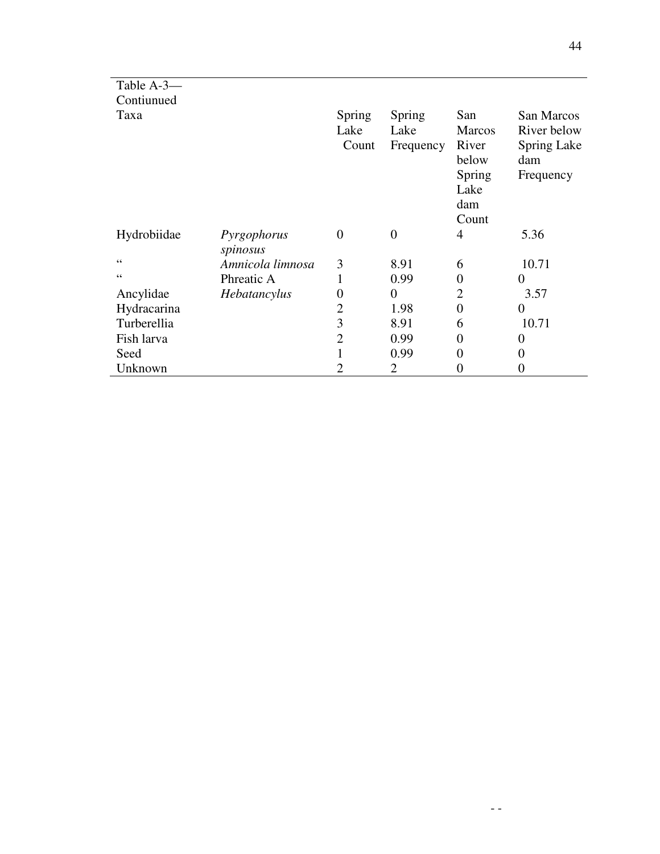| Table A-3-  |                         |                         |                             |                                                                          |                                                              |
|-------------|-------------------------|-------------------------|-----------------------------|--------------------------------------------------------------------------|--------------------------------------------------------------|
| Contiunued  |                         |                         |                             |                                                                          |                                                              |
| Taxa        |                         | Spring<br>Lake<br>Count | Spring<br>Lake<br>Frequency | San<br><b>Marcos</b><br>River<br>below<br>Spring<br>Lake<br>dam<br>Count | San Marcos<br>River below<br>Spring Lake<br>dam<br>Frequency |
| Hydrobiidae | Pyrgophorus<br>spinosus | $\overline{0}$          | $\boldsymbol{0}$            | 4                                                                        | 5.36                                                         |
| 66          | Amnicola limnosa        | 3                       | 8.91                        | 6                                                                        | 10.71                                                        |
| 66          | Phreatic A              |                         | 0.99                        | $\overline{0}$                                                           | 0                                                            |
| Ancylidae   | Hebatancylus            | 0                       | $\boldsymbol{0}$            | $\overline{2}$                                                           | 3.57                                                         |
| Hydracarina |                         | 2                       | 1.98                        | $\overline{0}$                                                           | $\Omega$                                                     |
| Turberellia |                         | 3                       | 8.91                        | 6                                                                        | 10.71                                                        |
| Fish larva  |                         | 2                       | 0.99                        | 0                                                                        | 0                                                            |
| Seed        |                         |                         | 0.99                        | 0                                                                        | $\theta$                                                     |
| Unknown     |                         | 2                       | 2                           | 0                                                                        | 0                                                            |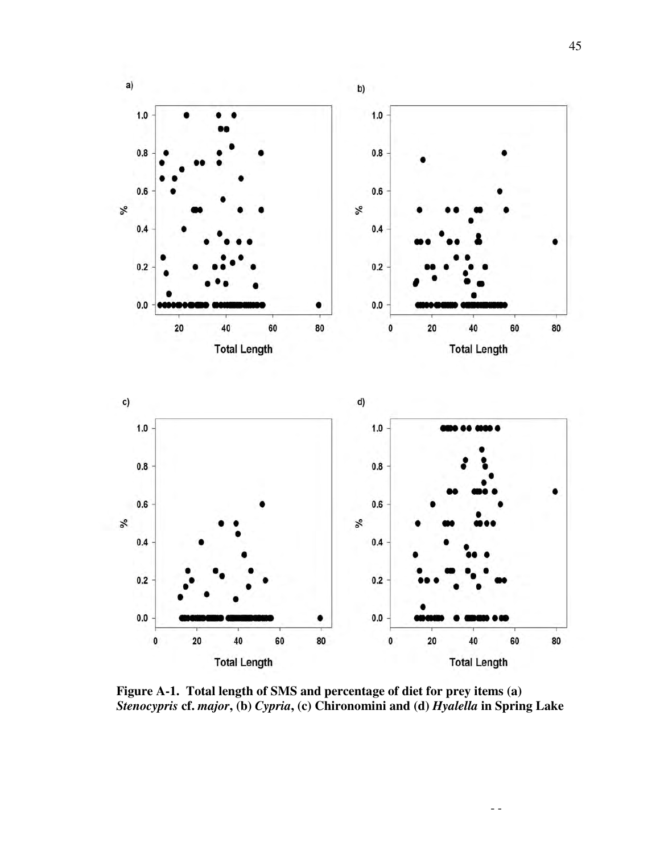

**Figure A-1. Total length of SMS and percentage of diet for prey items (a)**  *Stenocypris* **cf.** *major***, (b)** *Cypria***, (c) Chironomini and (d)** *Hyalella* **in Spring Lake**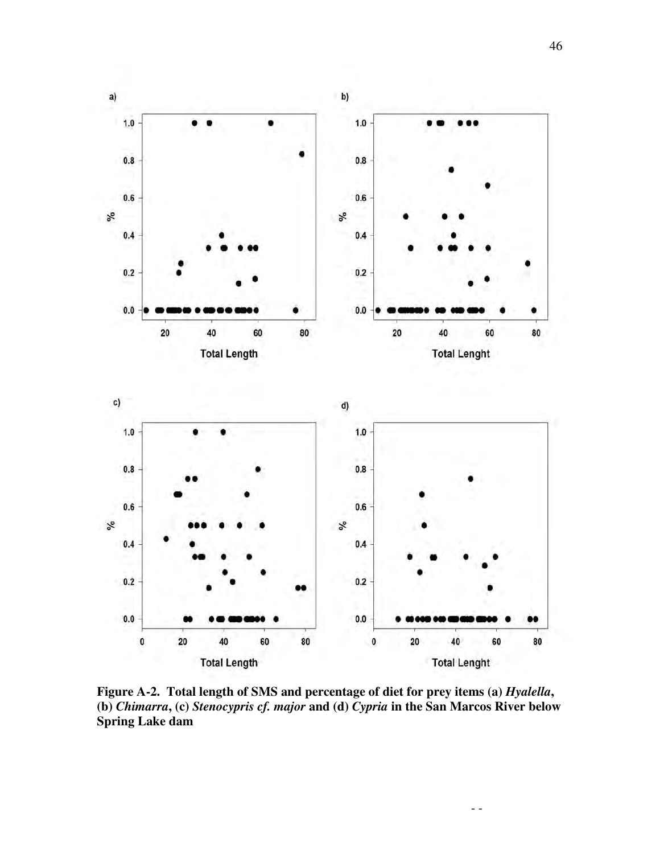

Figure A-2. Total length of SMS and percentage of diet for prey items (a) *Hyalella*, **(b)** *Chimarra***, (c)** *Stenocypris cf. major* **and (d)** *Cypria* **in the San Marcos River below Spring Lake dam**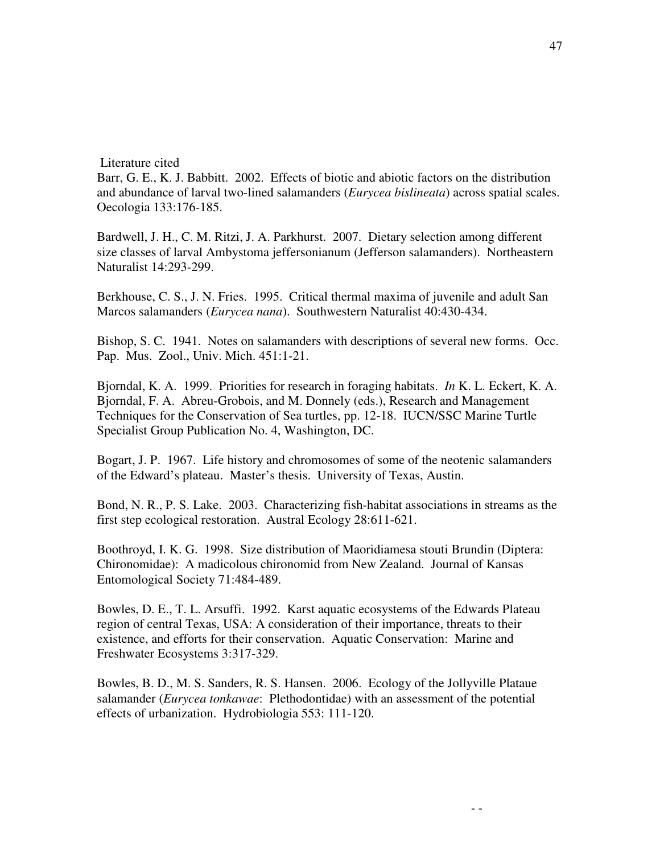#### Literature cited

Barr, G. E., K. J. Babbitt. 2002. Effects of biotic and abiotic factors on the distribution and abundance of larval two-lined salamanders (*Eurycea bislineata*) across spatial scales. Oecologia 133:176-185.

Bardwell, J. H., C. M. Ritzi, J. A. Parkhurst. 2007. Dietary selection among different size classes of larval Ambystoma jeffersonianum (Jefferson salamanders). Northeastern Naturalist 14:293-299.

Berkhouse, C. S., J. N. Fries. 1995. Critical thermal maxima of juvenile and adult San Marcos salamanders (*Eurycea nana*). Southwestern Naturalist 40:430-434.

Bishop, S. C. 1941. Notes on salamanders with descriptions of several new forms. Occ. Pap. Mus. Zool., Univ. Mich. 451:1-21.

Bjorndal, K. A. 1999. Priorities for research in foraging habitats. *In* K. L. Eckert, K. A. Bjorndal, F. A. Abreu-Grobois, and M. Donnely (eds.), Research and Management Techniques for the Conservation of Sea turtles, pp. 12-18. IUCN/SSC Marine Turtle Specialist Group Publication No. 4, Washington, DC.

Bogart, J. P. 1967. Life history and chromosomes of some of the neotenic salamanders of the Edward's plateau. Master's thesis. University of Texas, Austin.

Bond, N. R., P. S. Lake. 2003. Characterizing fish-habitat associations in streams as the first step ecological restoration. Austral Ecology 28:611-621.

Boothroyd, I. K. G. 1998. Size distribution of Maoridiamesa stouti Brundin (Diptera: Chironomidae): A madicolous chironomid from New Zealand. Journal of Kansas Entomological Society 71:484-489.

Bowles, D. E., T. L. Arsuffi. 1992. Karst aquatic ecosystems of the Edwards Plateau region of central Texas, USA: A consideration of their importance, threats to their existence, and efforts for their conservation. Aquatic Conservation: Marine and Freshwater Ecosystems 3:317-329.

Bowles, B. D., M. S. Sanders, R. S. Hansen. 2006. Ecology of the Jollyville Plataue salamander (*Eurycea tonkawae*: Plethodontidae) with an assessment of the potential effects of urbanization. Hydrobiologia 553: 111-120.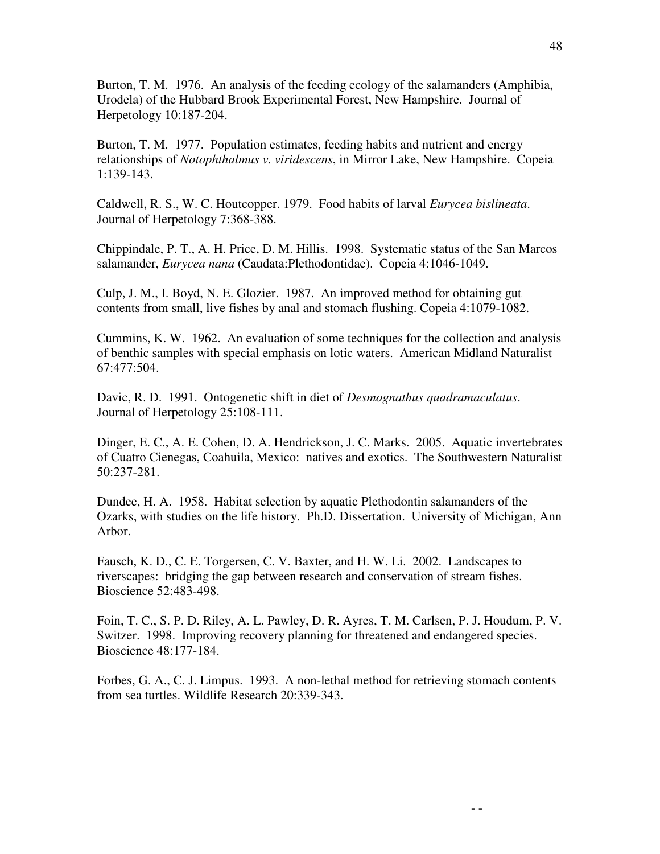Burton, T. M. 1976. An analysis of the feeding ecology of the salamanders (Amphibia, Urodela) of the Hubbard Brook Experimental Forest, New Hampshire. Journal of Herpetology 10:187-204.

Burton, T. M. 1977. Population estimates, feeding habits and nutrient and energy relationships of *Notophthalmus v. viridescens*, in Mirror Lake, New Hampshire. Copeia 1:139-143.

Caldwell, R. S., W. C. Houtcopper. 1979. Food habits of larval *Eurycea bislineata*. Journal of Herpetology 7:368-388.

Chippindale, P. T., A. H. Price, D. M. Hillis. 1998. Systematic status of the San Marcos salamander, *Eurycea nana* (Caudata:Plethodontidae). Copeia 4:1046-1049.

Culp, J. M., I. Boyd, N. E. Glozier. 1987. An improved method for obtaining gut contents from small, live fishes by anal and stomach flushing. Copeia 4:1079-1082.

Cummins, K. W. 1962. An evaluation of some techniques for the collection and analysis of benthic samples with special emphasis on lotic waters. American Midland Naturalist 67:477:504.

Davic, R. D. 1991. Ontogenetic shift in diet of *Desmognathus quadramaculatus*. Journal of Herpetology 25:108-111.

Dinger, E. C., A. E. Cohen, D. A. Hendrickson, J. C. Marks. 2005. Aquatic invertebrates of Cuatro Cienegas, Coahuila, Mexico: natives and exotics. The Southwestern Naturalist 50:237-281.

Dundee, H. A. 1958. Habitat selection by aquatic Plethodontin salamanders of the Ozarks, with studies on the life history. Ph.D. Dissertation. University of Michigan, Ann Arbor.

Fausch, K. D., C. E. Torgersen, C. V. Baxter, and H. W. Li. 2002. Landscapes to riverscapes: bridging the gap between research and conservation of stream fishes. Bioscience 52:483-498.

Foin, T. C., S. P. D. Riley, A. L. Pawley, D. R. Ayres, T. M. Carlsen, P. J. Houdum, P. V. Switzer. 1998. Improving recovery planning for threatened and endangered species. Bioscience 48:177-184.

Forbes, G. A., C. J. Limpus. 1993. A non-lethal method for retrieving stomach contents from sea turtles. Wildlife Research 20:339-343.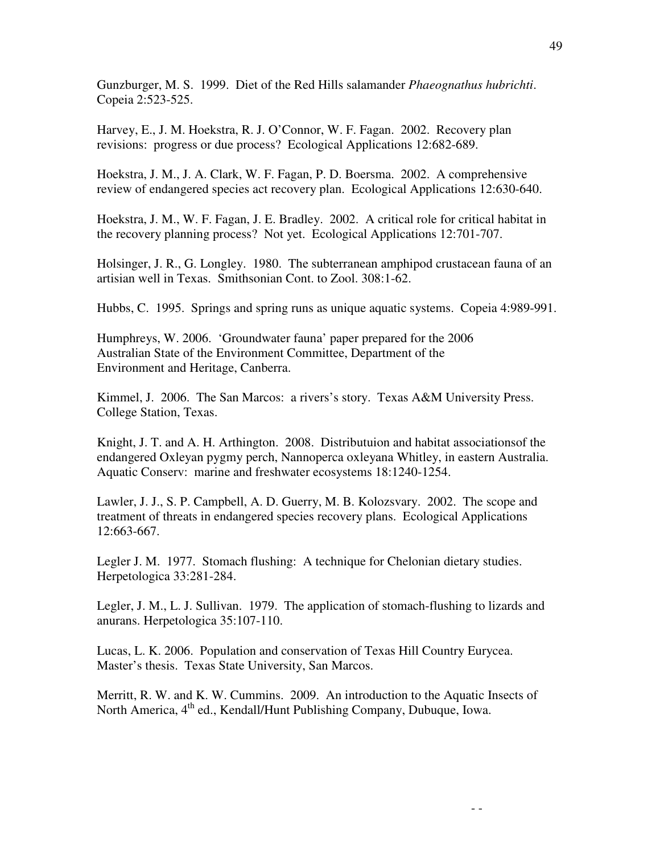Gunzburger, M. S. 1999. Diet of the Red Hills salamander *Phaeognathus hubrichti*. Copeia 2:523-525.

Harvey, E., J. M. Hoekstra, R. J. O'Connor, W. F. Fagan. 2002. Recovery plan revisions: progress or due process? Ecological Applications 12:682-689.

Hoekstra, J. M., J. A. Clark, W. F. Fagan, P. D. Boersma. 2002. A comprehensive review of endangered species act recovery plan. Ecological Applications 12:630-640.

Hoekstra, J. M., W. F. Fagan, J. E. Bradley. 2002. A critical role for critical habitat in the recovery planning process? Not yet. Ecological Applications 12:701-707.

Holsinger, J. R., G. Longley. 1980. The subterranean amphipod crustacean fauna of an artisian well in Texas. Smithsonian Cont. to Zool. 308:1-62.

Hubbs, C. 1995. Springs and spring runs as unique aquatic systems. Copeia 4:989-991.

Humphreys, W. 2006. 'Groundwater fauna' paper prepared for the 2006 Australian State of the Environment Committee, Department of the Environment and Heritage, Canberra.

Kimmel, J. 2006. The San Marcos: a rivers's story. Texas A&M University Press. College Station, Texas.

Knight, J. T. and A. H. Arthington. 2008. Distributuion and habitat associationsof the endangered Oxleyan pygmy perch, Nannoperca oxleyana Whitley, in eastern Australia. Aquatic Conserv: marine and freshwater ecosystems 18:1240-1254.

Lawler, J. J., S. P. Campbell, A. D. Guerry, M. B. Kolozsvary. 2002. The scope and treatment of threats in endangered species recovery plans. Ecological Applications 12:663-667.

Legler J. M. 1977. Stomach flushing: A technique for Chelonian dietary studies. Herpetologica 33:281-284.

Legler, J. M., L. J. Sullivan. 1979. The application of stomach-flushing to lizards and anurans. Herpetologica 35:107-110.

Lucas, L. K. 2006. Population and conservation of Texas Hill Country Eurycea. Master's thesis. Texas State University, San Marcos.

Merritt, R. W. and K. W. Cummins. 2009. An introduction to the Aquatic Insects of North America,  $4<sup>th</sup>$  ed., Kendall/Hunt Publishing Company, Dubuque, Iowa.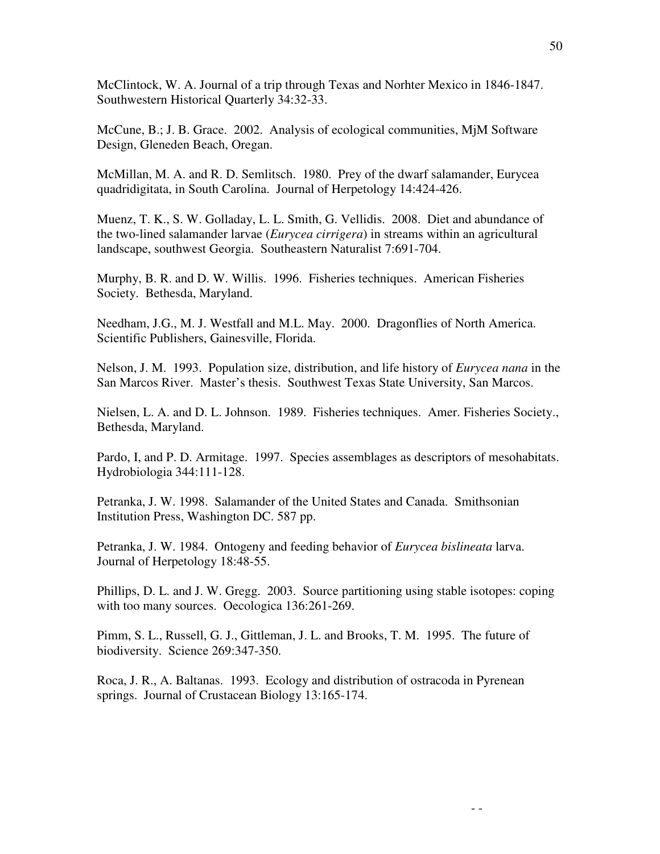McClintock, W. A. Journal of a trip through Texas and Norhter Mexico in 1846-1847. Southwestern Historical Quarterly 34:32-33.

McCune, B.; J. B. Grace. 2002. Analysis of ecological communities, MjM Software Design, Gleneden Beach, Oregan.

McMillan, M. A. and R. D. Semlitsch. 1980. Prey of the dwarf salamander, Eurycea quadridigitata, in South Carolina. Journal of Herpetology 14:424-426.

Muenz, T. K., S. W. Golladay, L. L. Smith, G. Vellidis. 2008. Diet and abundance of the two-lined salamander larvae (*Eurycea cirrigera*) in streams within an agricultural landscape, southwest Georgia. Southeastern Naturalist 7:691-704.

Murphy, B. R. and D. W. Willis. 1996. Fisheries techniques. American Fisheries Society. Bethesda, Maryland.

Needham, J.G., M. J. Westfall and M.L. May. 2000. Dragonflies of North America. Scientific Publishers, Gainesville, Florida.

Nelson, J. M. 1993. Population size, distribution, and life history of *Eurycea nana* in the San Marcos River. Master's thesis. Southwest Texas State University, San Marcos.

Nielsen, L. A. and D. L. Johnson. 1989. Fisheries techniques. Amer. Fisheries Society., Bethesda, Maryland.

Pardo, I, and P. D. Armitage. 1997. Species assemblages as descriptors of mesohabitats. Hydrobiologia 344:111-128.

Petranka, J. W. 1998. Salamander of the United States and Canada. Smithsonian Institution Press, Washington DC. 587 pp.

Petranka, J. W. 1984. Ontogeny and feeding behavior of *Eurycea bislineata* larva. Journal of Herpetology 18:48-55.

Phillips, D. L. and J. W. Gregg. 2003. Source partitioning using stable isotopes: coping with too many sources. Oecologica 136:261-269.

Pimm, S. L., Russell, G. J., Gittleman, J. L. and Brooks, T. M. 1995. The future of biodiversity. Science 269:347-350.

Roca, J. R., A. Baltanas. 1993. Ecology and distribution of ostracoda in Pyrenean springs. Journal of Crustacean Biology 13:165-174.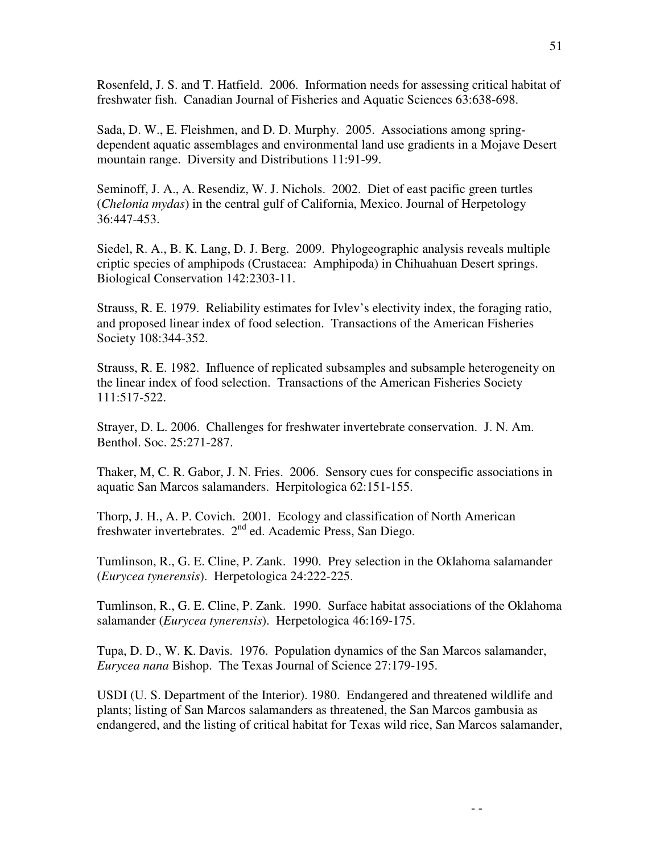Rosenfeld, J. S. and T. Hatfield. 2006. Information needs for assessing critical habitat of freshwater fish. Canadian Journal of Fisheries and Aquatic Sciences 63:638-698.

Sada, D. W., E. Fleishmen, and D. D. Murphy. 2005. Associations among springdependent aquatic assemblages and environmental land use gradients in a Mojave Desert mountain range. Diversity and Distributions 11:91-99.

Seminoff, J. A., A. Resendiz, W. J. Nichols. 2002. Diet of east pacific green turtles (*Chelonia mydas*) in the central gulf of California, Mexico. Journal of Herpetology 36:447-453.

Siedel, R. A., B. K. Lang, D. J. Berg. 2009. Phylogeographic analysis reveals multiple criptic species of amphipods (Crustacea: Amphipoda) in Chihuahuan Desert springs. Biological Conservation 142:2303-11.

Strauss, R. E. 1979. Reliability estimates for Ivlev's electivity index, the foraging ratio, and proposed linear index of food selection. Transactions of the American Fisheries Society 108:344-352.

Strauss, R. E. 1982. Influence of replicated subsamples and subsample heterogeneity on the linear index of food selection. Transactions of the American Fisheries Society 111:517-522.

Strayer, D. L. 2006. Challenges for freshwater invertebrate conservation. J. N. Am. Benthol. Soc. 25:271-287.

Thaker, M, C. R. Gabor, J. N. Fries. 2006. Sensory cues for conspecific associations in aquatic San Marcos salamanders. Herpitologica 62:151-155.

Thorp, J. H., A. P. Covich. 2001. Ecology and classification of North American freshwater invertebrates. 2nd ed. Academic Press, San Diego.

Tumlinson, R., G. E. Cline, P. Zank. 1990. Prey selection in the Oklahoma salamander (*Eurycea tynerensis*). Herpetologica 24:222-225.

Tumlinson, R., G. E. Cline, P. Zank. 1990. Surface habitat associations of the Oklahoma salamander (*Eurycea tynerensis*). Herpetologica 46:169-175.

Tupa, D. D., W. K. Davis. 1976. Population dynamics of the San Marcos salamander, *Eurycea nana* Bishop. The Texas Journal of Science 27:179-195.

USDI (U. S. Department of the Interior). 1980. Endangered and threatened wildlife and plants; listing of San Marcos salamanders as threatened, the San Marcos gambusia as endangered, and the listing of critical habitat for Texas wild rice, San Marcos salamander,